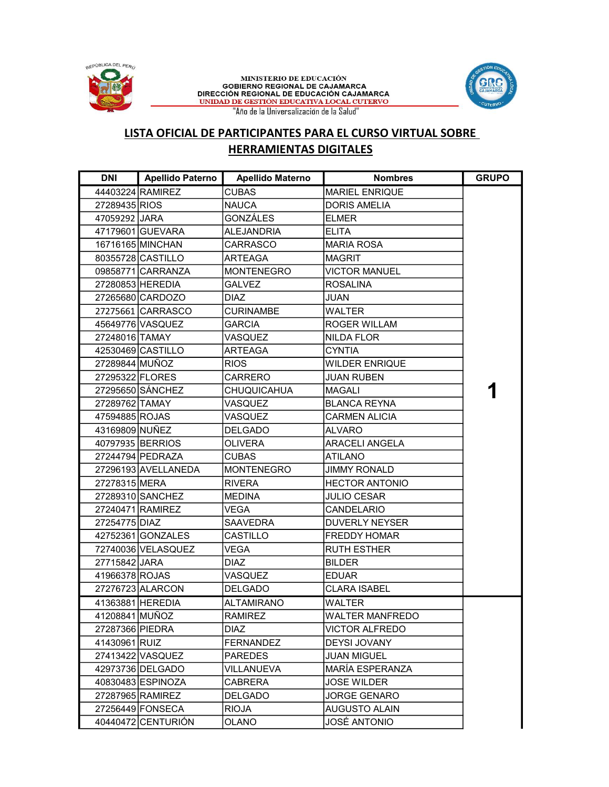

## MINISTERIO DE EDUCACIÓN<br>GOBIERNO REGIONAL DE CAJAMARCA<br>DIRECCIÓN REGIONAL DE EDUCACIÓN CAJAMARCA<br><u>UNIDAD DE GESTIÓN EDUCATIVA LOCAL CUTERVO</u> "Año de la Universalización de la Salud"



## LISTA OFICIAL DE PARTICIPANTES PARA EL CURSO VIRTUAL SOBRE HERRAMIENTAS DIGITALES

| <b>DNI</b>      | <b>Apellido Paterno</b> | <b>Apellido Materno</b> | <b>Nombres</b>         | <b>GRUPO</b> |
|-----------------|-------------------------|-------------------------|------------------------|--------------|
|                 | 44403224 RAMIREZ        | <b>CUBAS</b>            | <b>MARIEL ENRIQUE</b>  |              |
| 27289435 RIOS   |                         | <b>NAUCA</b>            | <b>DORIS AMELIA</b>    |              |
| 47059292 JARA   |                         | GONZÁLES                | ELMER                  |              |
|                 | 47179601 GUEVARA        | <b>ALEJANDRIA</b>       | <b>ELITA</b>           |              |
|                 | 16716165 MINCHAN        | CARRASCO                | <b>MARIA ROSA</b>      |              |
|                 | 80355728 CASTILLO       | <b>ARTEAGA</b>          | <b>MAGRIT</b>          |              |
|                 | 09858771 CARRANZA       | <b>MONTENEGRO</b>       | <b>VICTOR MANUEL</b>   |              |
|                 | 27280853 HEREDIA        | <b>GALVEZ</b>           | <b>ROSALINA</b>        |              |
|                 | 27265680 CARDOZO        | <b>DIAZ</b>             | JUAN                   |              |
|                 | 27275661 CARRASCO       | CURINAMBE               | <b>WALTER</b>          |              |
|                 | 45649776 VASQUEZ        | <b>GARCIA</b>           | <b>ROGER WILLAM</b>    |              |
| 27248016 TAMAY  |                         | VASQUEZ                 | NILDA FLOR             |              |
|                 | 42530469 CASTILLO       | ARTEAGA                 | CYNTIA                 |              |
| 27289844 MUÑOZ  |                         | <b>RIOS</b>             | WILDER ENRIQUE         |              |
| 27295322 FLORES |                         | CARRERO                 | <b>JUAN RUBEN</b>      |              |
|                 | 27295650 SÁNCHEZ        | CHUQUICAHUA             | <b>MAGALI</b>          | 1            |
| 27289762 TAMAY  |                         | VASQUEZ                 | <b>BLANCA REYNA</b>    |              |
| 47594885 ROJAS  |                         | VASQUEZ                 | <b>CARMEN ALICIA</b>   |              |
| 43169809 NUÑEZ  |                         | DELGADO                 | <b>ALVARO</b>          |              |
|                 | 40797935 BERRIOS        | <b>OLIVERA</b>          | <b>ARACELI ANGELA</b>  |              |
|                 | 27244794 PEDRAZA        | <b>CUBAS</b>            | <b>ATILANO</b>         |              |
|                 | 27296193 AVELLANEDA     | <b>MONTENEGRO</b>       | <b>JIMMY RONALD</b>    |              |
| 27278315 MERA   |                         | <b>RIVERA</b>           | <b>HECTOR ANTONIO</b>  |              |
|                 | 27289310 SANCHEZ        | <b>MEDINA</b>           | <b>JULIO CESAR</b>     |              |
|                 | 27240471 RAMIREZ        | VEGA                    | <b>CANDELARIO</b>      |              |
| 27254775 DIAZ   |                         | SAAVEDRA                | <b>DUVERLY NEYSER</b>  |              |
|                 | 42752361 GONZALES       | CASTILLO                | <b>FREDDY HOMAR</b>    |              |
|                 | 72740036 VELASQUEZ      | VEGA                    | <b>RUTH ESTHER</b>     |              |
| 27715842 JARA   |                         | <b>DIAZ</b>             | <b>BILDER</b>          |              |
| 41966378 ROJAS  |                         | VASQUEZ                 | <b>EDUAR</b>           |              |
|                 | 27276723 ALARCON        | DELGADO                 | CLARA ISABEL           |              |
|                 | 41363881 HEREDIA        | <b>ALTAMIRANO</b>       | WALTER                 |              |
| 41208841 MUÑOZ  |                         | RAMIREZ                 | <b>WALTER MANFREDO</b> |              |
| 27287366 PIEDRA |                         | DIAZ                    | VICTOR ALFREDO         |              |
| 41430961 RUIZ   |                         | <b>FERNANDEZ</b>        | DEYSI JOVANY           |              |
|                 | 27413422 VASQUEZ        | PAREDES                 | <b>JUAN MIGUEL</b>     |              |
|                 | 42973736 DELGADO        | VILLANUEVA              | MARÍA ESPERANZA        |              |
|                 | 40830483 ESPINOZA       | CABRERA                 | <b>JOSE WILDER</b>     |              |
|                 | 27287965 RAMIREZ        | DELGADO                 | JORGE GENARO           |              |
|                 | 27256449 FONSECA        | <b>RIOJA</b>            | <b>AUGUSTO ALAIN</b>   |              |
|                 | 40440472 CENTURIÓN      | OLANO                   | JOSÉ ANTONIO           |              |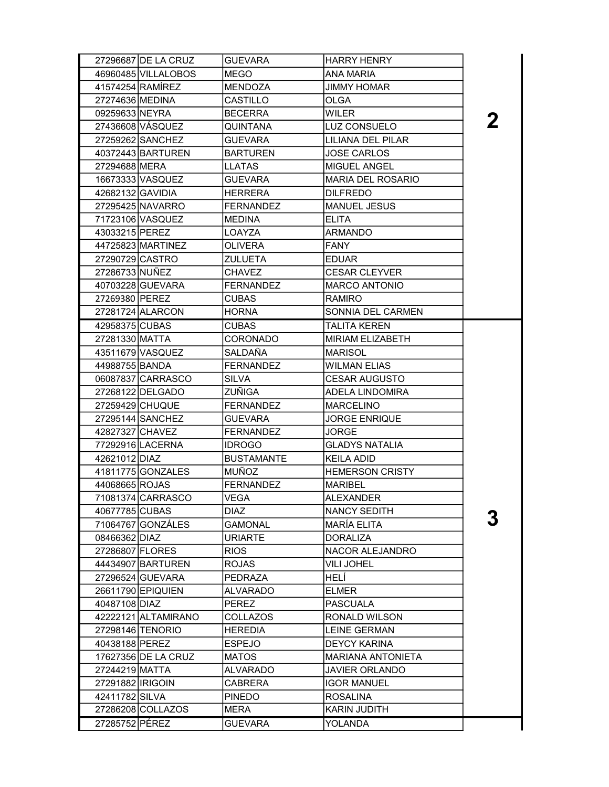|                    | 27296687 DE LA CRUZ | <b>GUEVARA</b>    | <b>HARRY HENRY</b>       |  |
|--------------------|---------------------|-------------------|--------------------------|--|
|                    | 46960485 VILLALOBOS | MEGO              | ANA MARIA                |  |
|                    | 41574254 RAMÍREZ    | <b>MENDOZA</b>    | <b>JIMMY HOMAR</b>       |  |
| 27274636 MEDINA    |                     | CASTILLO          | OLGA                     |  |
| 09259633 NEYRA     |                     | <b>BECERRA</b>    | WILER                    |  |
|                    | 27436608 VÁSQUEZ    | QUINTANA          | LUZ CONSUELO             |  |
|                    | 27259262 SANCHEZ    | <b>GUEVARA</b>    | LILIANA DEL PILAR        |  |
|                    | 40372443 BARTUREN   | <b>BARTUREN</b>   | <b>JOSE CARLOS</b>       |  |
| 27294688 MERA      |                     | <b>LLATAS</b>     | <b>MIGUEL ANGEL</b>      |  |
|                    | 16673333 VASQUEZ    | GUEVARA           | <b>MARIA DEL ROSARIO</b> |  |
| 42682132 GAVIDIA   |                     | HERRERA           | <b>DILFREDO</b>          |  |
|                    | 27295425 NAVARRO    | <b>FERNANDEZ</b>  | <b>MANUEL JESUS</b>      |  |
|                    | 71723106 VASQUEZ    | <b>MEDINA</b>     | <b>ELITA</b>             |  |
| 43033215 PEREZ     |                     | LOAYZA            | ARMANDO                  |  |
|                    | 44725823 MARTINEZ   | OLIVERA           | <b>FANY</b>              |  |
| 27290729 CASTRO    |                     | ZULUETA           | <b>EDUAR</b>             |  |
| 27286733 NUÑEZ     |                     | <b>CHAVEZ</b>     | <b>CESAR CLEYVER</b>     |  |
|                    | 40703228 GUEVARA    | <b>FERNANDEZ</b>  | <b>MARCO ANTONIO</b>     |  |
| 27269380 PEREZ     |                     | <b>CUBAS</b>      | <b>RAMIRO</b>            |  |
|                    | 27281724 ALARCON    | <b>HORNA</b>      | SONNIA DEL CARMEN        |  |
| 42958375 CUBAS     |                     | <b>CUBAS</b>      | <b>TALITA KEREN</b>      |  |
| 27281330 MATTA     |                     | <b>CORONADO</b>   | <b>MIRIAM ELIZABETH</b>  |  |
|                    | 43511679 VASQUEZ    | SALDAÑA           | <b>MARISOL</b>           |  |
| 44988755 BANDA     |                     | FERNANDEZ         | WILMAN ELIAS             |  |
|                    | 06087837 CARRASCO   | <b>SILVA</b>      | <b>CESAR AUGUSTO</b>     |  |
|                    | 27268122 DELGADO    | ZUÑIGA            | ADELA LINDOMIRA          |  |
|                    | 27259429 CHUQUE     | <b>FERNANDEZ</b>  | <b>MARCELINO</b>         |  |
|                    | 27295144 SANCHEZ    | GUEVARA           | <b>JORGE ENRIQUE</b>     |  |
| 42827327 CHAVEZ    |                     | <b>FERNANDEZ</b>  | JORGE                    |  |
|                    | 77292916 LACERNA    | <b>IDROGO</b>     | <b>GLADYS NATALIA</b>    |  |
| 42621012 DIAZ      |                     | <b>BUSTAMANTE</b> | <b>KEILA ADID</b>        |  |
|                    | 41811775 GONZALES   | <b>MUÑOZ</b>      | <b>HEMERSON CRISTY</b>   |  |
| 44068665 ROJAS     |                     | <b>FERNANDEZ</b>  | MARIBEL                  |  |
|                    | 71081374 CARRASCO   | <b>VEGA</b>       | ALEXANDER                |  |
| 40677785 CUBAS     |                     | DIAZ              | NANCY SEDITH             |  |
|                    | 71064767 GONZÁLES   | GAMONAL           | MARÍA ELITA              |  |
| 08466362 DIAZ      |                     | <b>URIARTE</b>    | DORALIZA                 |  |
| 27286807 FLORES    |                     | <b>RIOS</b>       | NACOR ALEJANDRO          |  |
|                    | 44434907 BARTUREN   | <b>ROJAS</b>      | <b>VILI JOHEL</b>        |  |
|                    | 27296524 GUEVARA    | PEDRAZA           | HELÍ                     |  |
|                    | 26611790 EPIQUIEN   | ALVARADO          | ELMER                    |  |
| 40487108 DIAZ      |                     | <b>PEREZ</b>      | PASCUALA                 |  |
|                    | 42222121 ALTAMIRANO | COLLAZOS          | RONALD WILSON            |  |
|                    | 27298146 TENORIO    | <b>HEREDIA</b>    | <b>LEINE GERMAN</b>      |  |
| 40438188 PEREZ     |                     | <b>ESPEJO</b>     | <b>DEYCY KARINA</b>      |  |
|                    | 17627356 DE LA CRUZ | MATOS             | <b>MARIANA ANTONIETA</b> |  |
| 27244219 MATTA     |                     | ALVARADO          | <b>JAVIER ORLANDO</b>    |  |
| 27291882   IRIGOIN |                     | <b>CABRERA</b>    | <b>IGOR MANUEL</b>       |  |
| 42411782 SILVA     |                     | <b>PINEDO</b>     | ROSALINA                 |  |
|                    | 27286208 COLLAZOS   | MERA              | KARIN JUDITH             |  |
| 27285752 PÉREZ     |                     | <b>GUEVARA</b>    | YOLANDA                  |  |
|                    |                     |                   |                          |  |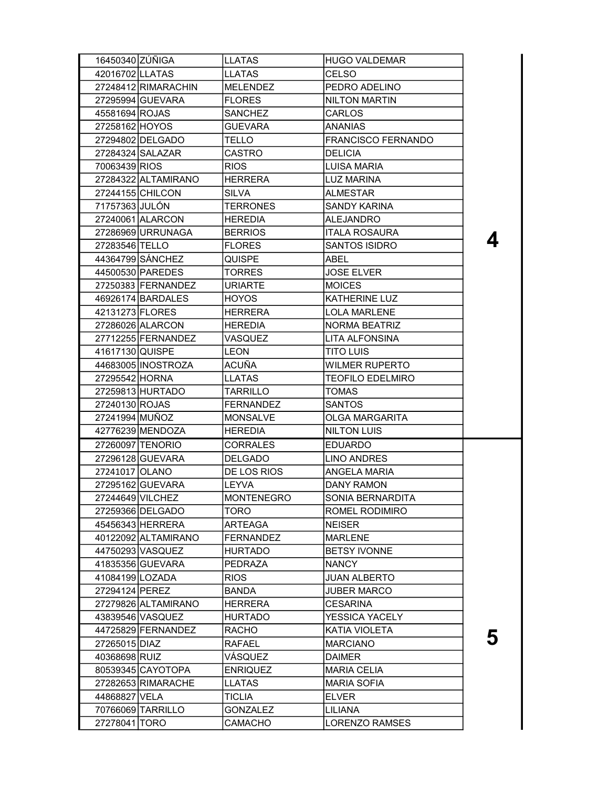| 16450340 ZÚÑIGA |                     | LLATAS            | <b>HUGO VALDEMAR</b>      |  |
|-----------------|---------------------|-------------------|---------------------------|--|
| 42016702 LLATAS |                     | <b>LLATAS</b>     | <b>CELSO</b>              |  |
|                 | 27248412 RIMARACHIN | <b>MELENDEZ</b>   | PEDRO ADELINO             |  |
|                 | 27295994 GUEVARA    | <b>FLORES</b>     | <b>NILTON MARTIN</b>      |  |
| 45581694 ROJAS  |                     | SANCHEZ           | <b>CARLOS</b>             |  |
| 27258162 HOYOS  |                     | <b>GUEVARA</b>    | ANANIAS                   |  |
|                 | 27294802 DELGADO    | TELLO             | <b>FRANCISCO FERNANDO</b> |  |
|                 | 27284324 SALAZAR    | <b>CASTRO</b>     | <b>DELICIA</b>            |  |
| 70063439 RIOS   |                     | <b>RIOS</b>       | LUISA MARIA               |  |
|                 | 27284322 ALTAMIRANO | <b>HERRERA</b>    | LUZ MARINA                |  |
|                 | 27244155 CHILCON    | SILVA             | <b>ALMESTAR</b>           |  |
| 71757363 JULÓN  |                     | <b>TERRONES</b>   | <b>SANDY KARINA</b>       |  |
|                 | 27240061 ALARCON    | HEREDIA           | ALEJANDRO                 |  |
|                 | 27286969 URRUNAGA   | <b>BERRIOS</b>    | <b>ITALA ROSAURA</b>      |  |
| 27283546 TELLO  |                     | <b>FLORES</b>     | <b>SANTOS ISIDRO</b>      |  |
|                 | 44364799 SÁNCHEZ    | QUISPE            | <b>ABEL</b>               |  |
|                 | 44500530 PAREDES    | <b>TORRES</b>     | <b>JOSE ELVER</b>         |  |
|                 | 27250383 FERNANDEZ  | URIARTE           | <b>MOICES</b>             |  |
|                 | 46926174 BARDALES   | <b>HOYOS</b>      | <b>KATHERINE LUZ</b>      |  |
| 42131273 FLORES |                     | <b>HERRERA</b>    | LOLA MARLENE              |  |
|                 | 27286026 ALARCON    | <b>HEREDIA</b>    | <b>NORMA BEATRIZ</b>      |  |
|                 | 27712255 FERNANDEZ  | VASQUEZ           | LITA ALFONSINA            |  |
| 41617130 QUISPE |                     | LEON              | TITO LUIS                 |  |
|                 | 44683005 INOSTROZA  | ACUÑA             | <b>WILMER RUPERTO</b>     |  |
| 27295542 HORNA  |                     | LLATAS            | <b>TEOFILO EDELMIRO</b>   |  |
|                 | 27259813 HURTADO    | TARRILLO          | TOMAS                     |  |
| 27240130 ROJAS  |                     | <b>FERNANDEZ</b>  | SANTOS                    |  |
| 27241994 MUÑOZ  |                     | <b>MONSALVE</b>   | OLGA MARGARITA            |  |
|                 | 42776239 MENDOZA    | <b>HEREDIA</b>    | <b>NILTON LUIS</b>        |  |
|                 | 27260097 TENORIO    | <b>CORRALES</b>   | <b>EDUARDO</b>            |  |
|                 | 27296128 GUEVARA    | <b>DELGADO</b>    | LINO ANDRES               |  |
| 27241017 OLANO  |                     | DE LOS RIOS       | ANGELA MARIA              |  |
|                 | 27295162 GUEVARA    | <b>LEYVA</b>      | <b>DANY RAMON</b>         |  |
|                 | 27244649 VILCHEZ    | <b>MONTENEGRO</b> | SONIA BERNARDITA          |  |
|                 | 27259366 DELGADO    | <b>TORO</b>       | ROMEL RODIMIRO            |  |
|                 | 45456343 HERRERA    | ARTEAGA           | <b>NEISER</b>             |  |
|                 | 40122092 ALTAMIRANO | <b>FERNANDEZ</b>  | <b>MARLENE</b>            |  |
|                 | 44750293 VASQUEZ    | <b>HURTADO</b>    | <b>BETSY IVONNE</b>       |  |
|                 | 41835356 GUEVARA    | PEDRAZA           | <b>NANCY</b>              |  |
| 41084199 LOZADA |                     | <b>RIOS</b>       | <b>JUAN ALBERTO</b>       |  |
| 27294124 PEREZ  |                     | BANDA             | JUBER MARCO               |  |
|                 | 27279826 ALTAMIRANO | <b>HERRERA</b>    | <b>CESARINA</b>           |  |
|                 | 43839546 VASQUEZ    | <b>HURTADO</b>    | YESSICA YACELY            |  |
|                 | 44725829 FERNANDEZ  | <b>RACHO</b>      | <b>KATIA VIOLETA</b>      |  |
| 27265015 DIAZ   |                     | RAFAEL            | <b>MARCIANO</b>           |  |
| 40368698 RUIZ   |                     | VÁSQUEZ           | <b>DAIMER</b>             |  |
|                 | 80539345 CAYOTOPA   | <b>ENRIQUEZ</b>   | <b>MARIA CELIA</b>        |  |
|                 | 27282653 RIMARACHE  | LLATAS            | <b>MARIA SOFIA</b>        |  |
| 44868827 VELA   |                     | <b>TICLIA</b>     | <b>ELVER</b>              |  |
|                 | 70766069 TARRILLO   | GONZALEZ          | LILIANA                   |  |
| 27278041 TORO   |                     | CAMACHO           | <b>LORENZO RAMSES</b>     |  |
|                 |                     |                   |                           |  |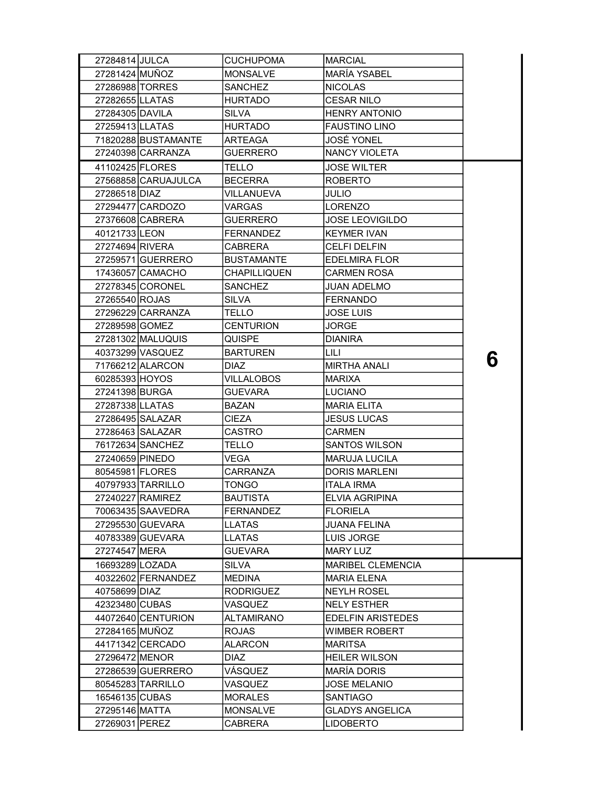| 27284814 JULCA  |                     | <b>CUCHUPOMA</b>    | MARCIAL                  |   |
|-----------------|---------------------|---------------------|--------------------------|---|
| 27281424 MUÑOZ  |                     | <b>MONSALVE</b>     | <b>MARIA YSABEL</b>      |   |
| 27286988 TORRES |                     | <b>SANCHEZ</b>      | NICOLAS                  |   |
| 27282655 LLATAS |                     | <b>HURTADO</b>      | <b>CESAR NILO</b>        |   |
| 27284305 DAVILA |                     | <b>SILVA</b>        | <b>HENRY ANTONIO</b>     |   |
| 27259413 LLATAS |                     | <b>HURTADO</b>      | <b>FAUSTINO LINO</b>     |   |
|                 | 71820288 BUSTAMANTE | ARTEAGA             | <b>JOSÉ YONEL</b>        |   |
|                 | 27240398 CARRANZA   | <b>GUERRERO</b>     | INANCY VIOLETA           |   |
| 41102425 FLORES |                     | TELLO               | <b>JOSE WILTER</b>       |   |
|                 | 27568858 CARUAJULCA | <b>BECERRA</b>      | <b>ROBERTO</b>           |   |
| 27286518 DIAZ   |                     | <b>VILLANUEVA</b>   | JULIO                    |   |
|                 | 27294477 CARDOZO    | <b>VARGAS</b>       | <b>LORENZO</b>           |   |
|                 | 27376608 CABRERA    | <b>GUERRERO</b>     | <b>JOSE LEOVIGILDO</b>   |   |
| 40121733 LEON   |                     | FERNANDEZ           | KEYMER IVAN              |   |
| 27274694 RIVERA |                     | CABRERA             | <b>CELFI DELFIN</b>      |   |
|                 | 27259571 GUERRERO   | <b>BUSTAMANTE</b>   | <b>EDELMIRA FLOR</b>     |   |
|                 | 17436057 CAMACHO    | <b>CHAPILLIQUEN</b> | <b>CARMEN ROSA</b>       |   |
|                 | 27278345 CORONEL    | <b>SANCHEZ</b>      | <b>JUAN ADELMO</b>       |   |
| 27265540 ROJAS  |                     | SILVA               | <b>FERNANDO</b>          |   |
|                 | 27296229 CARRANZA   | TELLO               | <b>JOSE LUIS</b>         |   |
| 27289598 GOMEZ  |                     | <b>CENTURION</b>    | <b>JORGE</b>             |   |
|                 | 27281302 MALUQUIS   | <b>QUISPE</b>       | <b>DIANIRA</b>           |   |
|                 | 40373299 VASQUEZ    | <b>BARTUREN</b>     | LILI                     |   |
|                 | 71766212 ALARCON    | DIAZ                | MIRTHA ANALI             | 6 |
| 60285393 HOYOS  |                     | VILLALOBOS          | MARIXA                   |   |
| 27241398 BURGA  |                     | <b>GUEVARA</b>      | <b>LUCIANO</b>           |   |
| 27287338 LLATAS |                     | BAZAN               | MARIA ELITA              |   |
|                 | 27286495 SALAZAR    | <b>CIEZA</b>        | <b>JESUS LUCAS</b>       |   |
|                 | 27286463 SALAZAR    | CASTRO              | CARMEN                   |   |
|                 | 76172634 SANCHEZ    | TELLO               | SANTOS WILSON            |   |
| 27240659 PINEDO |                     | VEGA                | MARUJA LUCILA            |   |
| 80545981 FLORES |                     | CARRANZA            | <b>DORIS MARLENI</b>     |   |
|                 | 40797933 TARRILLO   | <b>TONGO</b>        | <b>ITALA IRMA</b>        |   |
|                 | 27240227 RAMIREZ    | <b>BAUTISTA</b>     | <b>ELVIA AGRIPINA</b>    |   |
|                 | 70063435 SAAVEDRA   | FERNANDEZ           | FLORIELA                 |   |
|                 | 27295530 GUEVARA    | LLATAS              | JUANA FELINA             |   |
|                 | 40783389 GUEVARA    | <b>LLATAS</b>       | LUIS JORGE               |   |
| 27274547 MERA   |                     | <b>GUEVARA</b>      | <b>MARY LUZ</b>          |   |
| 16693289 LOZADA |                     | SILVA               | <b>MARIBEL CLEMENCIA</b> |   |
|                 | 40322602 FERNANDEZ  | <b>MEDINA</b>       | MARIA ELENA              |   |
| 40758699 DIAZ   |                     | <b>RODRIGUEZ</b>    | NEYLH ROSEL              |   |
| 42323480 CUBAS  |                     | VASQUEZ             | <b>NELY ESTHER</b>       |   |
|                 | 44072640 CENTURION  | ALTAMIRANO          | <b>EDELFIN ARISTEDES</b> |   |
| 27284165 MUÑOZ  |                     | <b>ROJAS</b>        | <b>WIMBER ROBERT</b>     |   |
|                 | 44171342 CERCADO    | <b>ALARCON</b>      | MARITSA                  |   |
| 27296472 MENOR  |                     | DIAZ                | HEILER WILSON            |   |
|                 | 27286539 GUERRERO   | VÁSQUEZ             | MARÍA DORIS              |   |
|                 | 80545283 TARRILLO   | VASQUEZ             | <b>JOSE MELANIO</b>      |   |
| 16546135 CUBAS  |                     | <b>MORALES</b>      | SANTIAGO                 |   |
| 27295146 MATTA  |                     | <b>MONSALVE</b>     | <b>GLADYS ANGELICA</b>   |   |
| 27269031 PEREZ  |                     | CABRERA             | <b>LIDOBERTO</b>         |   |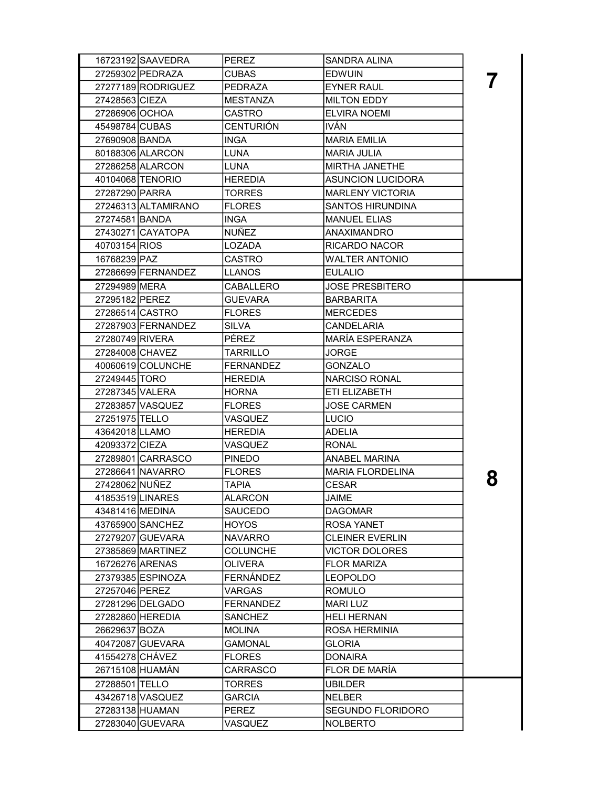| 27259302 PEDRAZA<br><b>CUBAS</b><br><b>EDWUIN</b><br>27277189 RODRIGUEZ<br><b>PEDRAZA</b><br><b>EYNER RAUL</b><br>27428563 CIEZA<br><b>MESTANZA</b><br><b>MILTON EDDY</b><br>27286906 OCHOA<br>CASTRO<br>ELVIRA NOEMI<br>45498784 CUBAS<br><b>CENTURIÓN</b><br><b>IVAN</b><br>27690908 BANDA<br>INGA<br><b>MARIA EMILIA</b><br>80188306 ALARCON<br>LUNA<br><b>MARIA JULIA</b><br>27286258 ALARCON<br><b>MIRTHA JANETHE</b><br>LUNA<br>40104068 TENORIO<br><b>HEREDIA</b><br><b>ASUNCION LUCIDORA</b><br>27287290 PARRA<br><b>TORRES</b><br><b>MARLENY VICTORIA</b><br>27246313 ALTAMIRANO<br><b>SANTOS HIRUNDINA</b><br><b>FLORES</b><br>27274581 BANDA<br>INGA<br><b>MANUEL ELIAS</b><br>27430271 CAYATOPA<br><b>NUÑEZ</b><br>ANAXIMANDRO<br>40703154 RIOS<br>LOZADA<br>RICARDO NACOR<br>16768239 PAZ<br><b>WALTER ANTONIO</b><br><b>CASTRO</b><br>27286699 FERNANDEZ<br><b>EULALIO</b><br>LLANOS<br>27294989 MERA<br><b>CABALLERO</b><br><b>JOSE PRESBITERO</b><br>27295182 PEREZ<br><b>GUEVARA</b><br><b>BARBARITA</b><br>27286514 CASTRO<br><b>FLORES</b><br>MERCEDES<br>27287903 FERNANDEZ<br><b>SILVA</b><br><b>CANDELARIA</b><br>MARÍA ESPERANZA<br>27280749 RIVERA<br><b>PÉREZ</b><br>27284008 CHAVEZ<br>TARRILLO<br><b>JORGE</b><br>40060619 COLUNCHE<br>FERNANDEZ<br><b>GONZALO</b><br>27249445 TORO<br>NARCISO RONAL<br><b>HEREDIA</b><br>27287345 VALERA<br><b>HORNA</b><br>ETI ELIZABETH<br>27283857 VASQUEZ<br><b>FLORES</b><br><b>JOSE CARMEN</b><br>27251975 TELLO<br>VASQUEZ<br><b>LUCIO</b><br>43642018 LLAMO<br><b>HEREDIA</b><br>ADELIA<br>42093372 CIEZA<br>VASQUEZ<br><b>RONAL</b><br>27289801 CARRASCO<br>ANABEL MARINA<br><b>PINEDO</b><br>27286641 NAVARRO<br><b>FLORES</b><br><b>MARIA FLORDELINA</b><br>8<br>27428062 NUÑEZ<br><b>TAPIA</b><br><b>CESAR</b><br>41853519 LINARES<br><b>ALARCON</b><br>JAIME<br>43481416 MEDINA<br>SAUCEDO<br><b>DAGOMAR</b><br>43765900 SANCHEZ<br><b>HOYOS</b><br><b>ROSA YANET</b><br>27279207 GUEVARA<br><b>NAVARRO</b><br><b>CLEINER EVERLIN</b><br>27385869 MARTINEZ<br><b>COLUNCHE</b><br><b>VICTOR DOLORES</b><br>16726276 ARENAS<br><b>OLIVERA</b><br><b>FLOR MARIZA</b><br>FERNÁNDEZ<br>27379385 ESPINOZA<br><b>LEOPOLDO</b><br>27257046 PEREZ<br>VARGAS<br>ROMULO<br>27281296 DELGADO<br><b>FERNANDEZ</b><br><b>MARILUZ</b><br>27282860 HEREDIA<br>SANCHEZ<br><b>HELI HERNAN</b><br>26629637 BOZA<br><b>MOLINA</b><br><b>ROSA HERMINIA</b><br>40472087 GUEVARA<br>GAMONAL<br><b>GLORIA</b><br>41554278 CHÁVEZ<br><b>FLORES</b><br>DONAIRA<br>26715108 HUAMÁN<br>FLOR DE MARÍA<br>CARRASCO<br>27288501 TELLO<br><b>TORRES</b><br><b>UBILDER</b><br>43426718 VASQUEZ<br>GARCIA<br><b>NELBER</b><br>27283138 HUAMAN<br>SEGUNDO FLORIDORO<br>PEREZ | 16723192 SAAVEDRA | <b>PEREZ</b> | <b>SANDRA ALINA</b> |  |
|--------------------------------------------------------------------------------------------------------------------------------------------------------------------------------------------------------------------------------------------------------------------------------------------------------------------------------------------------------------------------------------------------------------------------------------------------------------------------------------------------------------------------------------------------------------------------------------------------------------------------------------------------------------------------------------------------------------------------------------------------------------------------------------------------------------------------------------------------------------------------------------------------------------------------------------------------------------------------------------------------------------------------------------------------------------------------------------------------------------------------------------------------------------------------------------------------------------------------------------------------------------------------------------------------------------------------------------------------------------------------------------------------------------------------------------------------------------------------------------------------------------------------------------------------------------------------------------------------------------------------------------------------------------------------------------------------------------------------------------------------------------------------------------------------------------------------------------------------------------------------------------------------------------------------------------------------------------------------------------------------------------------------------------------------------------------------------------------------------------------------------------------------------------------------------------------------------------------------------------------------------------------------------------------------------------------------------------------------------------------------------------------------------------------------------------------------------------------------------------------------------------------------------------------------------------------------------------------------------------------------------------------------------------------------------------------------------------------|-------------------|--------------|---------------------|--|
|                                                                                                                                                                                                                                                                                                                                                                                                                                                                                                                                                                                                                                                                                                                                                                                                                                                                                                                                                                                                                                                                                                                                                                                                                                                                                                                                                                                                                                                                                                                                                                                                                                                                                                                                                                                                                                                                                                                                                                                                                                                                                                                                                                                                                                                                                                                                                                                                                                                                                                                                                                                                                                                                                                                    |                   |              |                     |  |
|                                                                                                                                                                                                                                                                                                                                                                                                                                                                                                                                                                                                                                                                                                                                                                                                                                                                                                                                                                                                                                                                                                                                                                                                                                                                                                                                                                                                                                                                                                                                                                                                                                                                                                                                                                                                                                                                                                                                                                                                                                                                                                                                                                                                                                                                                                                                                                                                                                                                                                                                                                                                                                                                                                                    |                   |              |                     |  |
|                                                                                                                                                                                                                                                                                                                                                                                                                                                                                                                                                                                                                                                                                                                                                                                                                                                                                                                                                                                                                                                                                                                                                                                                                                                                                                                                                                                                                                                                                                                                                                                                                                                                                                                                                                                                                                                                                                                                                                                                                                                                                                                                                                                                                                                                                                                                                                                                                                                                                                                                                                                                                                                                                                                    |                   |              |                     |  |
|                                                                                                                                                                                                                                                                                                                                                                                                                                                                                                                                                                                                                                                                                                                                                                                                                                                                                                                                                                                                                                                                                                                                                                                                                                                                                                                                                                                                                                                                                                                                                                                                                                                                                                                                                                                                                                                                                                                                                                                                                                                                                                                                                                                                                                                                                                                                                                                                                                                                                                                                                                                                                                                                                                                    |                   |              |                     |  |
|                                                                                                                                                                                                                                                                                                                                                                                                                                                                                                                                                                                                                                                                                                                                                                                                                                                                                                                                                                                                                                                                                                                                                                                                                                                                                                                                                                                                                                                                                                                                                                                                                                                                                                                                                                                                                                                                                                                                                                                                                                                                                                                                                                                                                                                                                                                                                                                                                                                                                                                                                                                                                                                                                                                    |                   |              |                     |  |
|                                                                                                                                                                                                                                                                                                                                                                                                                                                                                                                                                                                                                                                                                                                                                                                                                                                                                                                                                                                                                                                                                                                                                                                                                                                                                                                                                                                                                                                                                                                                                                                                                                                                                                                                                                                                                                                                                                                                                                                                                                                                                                                                                                                                                                                                                                                                                                                                                                                                                                                                                                                                                                                                                                                    |                   |              |                     |  |
|                                                                                                                                                                                                                                                                                                                                                                                                                                                                                                                                                                                                                                                                                                                                                                                                                                                                                                                                                                                                                                                                                                                                                                                                                                                                                                                                                                                                                                                                                                                                                                                                                                                                                                                                                                                                                                                                                                                                                                                                                                                                                                                                                                                                                                                                                                                                                                                                                                                                                                                                                                                                                                                                                                                    |                   |              |                     |  |
|                                                                                                                                                                                                                                                                                                                                                                                                                                                                                                                                                                                                                                                                                                                                                                                                                                                                                                                                                                                                                                                                                                                                                                                                                                                                                                                                                                                                                                                                                                                                                                                                                                                                                                                                                                                                                                                                                                                                                                                                                                                                                                                                                                                                                                                                                                                                                                                                                                                                                                                                                                                                                                                                                                                    |                   |              |                     |  |
|                                                                                                                                                                                                                                                                                                                                                                                                                                                                                                                                                                                                                                                                                                                                                                                                                                                                                                                                                                                                                                                                                                                                                                                                                                                                                                                                                                                                                                                                                                                                                                                                                                                                                                                                                                                                                                                                                                                                                                                                                                                                                                                                                                                                                                                                                                                                                                                                                                                                                                                                                                                                                                                                                                                    |                   |              |                     |  |
|                                                                                                                                                                                                                                                                                                                                                                                                                                                                                                                                                                                                                                                                                                                                                                                                                                                                                                                                                                                                                                                                                                                                                                                                                                                                                                                                                                                                                                                                                                                                                                                                                                                                                                                                                                                                                                                                                                                                                                                                                                                                                                                                                                                                                                                                                                                                                                                                                                                                                                                                                                                                                                                                                                                    |                   |              |                     |  |
|                                                                                                                                                                                                                                                                                                                                                                                                                                                                                                                                                                                                                                                                                                                                                                                                                                                                                                                                                                                                                                                                                                                                                                                                                                                                                                                                                                                                                                                                                                                                                                                                                                                                                                                                                                                                                                                                                                                                                                                                                                                                                                                                                                                                                                                                                                                                                                                                                                                                                                                                                                                                                                                                                                                    |                   |              |                     |  |
|                                                                                                                                                                                                                                                                                                                                                                                                                                                                                                                                                                                                                                                                                                                                                                                                                                                                                                                                                                                                                                                                                                                                                                                                                                                                                                                                                                                                                                                                                                                                                                                                                                                                                                                                                                                                                                                                                                                                                                                                                                                                                                                                                                                                                                                                                                                                                                                                                                                                                                                                                                                                                                                                                                                    |                   |              |                     |  |
|                                                                                                                                                                                                                                                                                                                                                                                                                                                                                                                                                                                                                                                                                                                                                                                                                                                                                                                                                                                                                                                                                                                                                                                                                                                                                                                                                                                                                                                                                                                                                                                                                                                                                                                                                                                                                                                                                                                                                                                                                                                                                                                                                                                                                                                                                                                                                                                                                                                                                                                                                                                                                                                                                                                    |                   |              |                     |  |
|                                                                                                                                                                                                                                                                                                                                                                                                                                                                                                                                                                                                                                                                                                                                                                                                                                                                                                                                                                                                                                                                                                                                                                                                                                                                                                                                                                                                                                                                                                                                                                                                                                                                                                                                                                                                                                                                                                                                                                                                                                                                                                                                                                                                                                                                                                                                                                                                                                                                                                                                                                                                                                                                                                                    |                   |              |                     |  |
|                                                                                                                                                                                                                                                                                                                                                                                                                                                                                                                                                                                                                                                                                                                                                                                                                                                                                                                                                                                                                                                                                                                                                                                                                                                                                                                                                                                                                                                                                                                                                                                                                                                                                                                                                                                                                                                                                                                                                                                                                                                                                                                                                                                                                                                                                                                                                                                                                                                                                                                                                                                                                                                                                                                    |                   |              |                     |  |
|                                                                                                                                                                                                                                                                                                                                                                                                                                                                                                                                                                                                                                                                                                                                                                                                                                                                                                                                                                                                                                                                                                                                                                                                                                                                                                                                                                                                                                                                                                                                                                                                                                                                                                                                                                                                                                                                                                                                                                                                                                                                                                                                                                                                                                                                                                                                                                                                                                                                                                                                                                                                                                                                                                                    |                   |              |                     |  |
|                                                                                                                                                                                                                                                                                                                                                                                                                                                                                                                                                                                                                                                                                                                                                                                                                                                                                                                                                                                                                                                                                                                                                                                                                                                                                                                                                                                                                                                                                                                                                                                                                                                                                                                                                                                                                                                                                                                                                                                                                                                                                                                                                                                                                                                                                                                                                                                                                                                                                                                                                                                                                                                                                                                    |                   |              |                     |  |
|                                                                                                                                                                                                                                                                                                                                                                                                                                                                                                                                                                                                                                                                                                                                                                                                                                                                                                                                                                                                                                                                                                                                                                                                                                                                                                                                                                                                                                                                                                                                                                                                                                                                                                                                                                                                                                                                                                                                                                                                                                                                                                                                                                                                                                                                                                                                                                                                                                                                                                                                                                                                                                                                                                                    |                   |              |                     |  |
|                                                                                                                                                                                                                                                                                                                                                                                                                                                                                                                                                                                                                                                                                                                                                                                                                                                                                                                                                                                                                                                                                                                                                                                                                                                                                                                                                                                                                                                                                                                                                                                                                                                                                                                                                                                                                                                                                                                                                                                                                                                                                                                                                                                                                                                                                                                                                                                                                                                                                                                                                                                                                                                                                                                    |                   |              |                     |  |
|                                                                                                                                                                                                                                                                                                                                                                                                                                                                                                                                                                                                                                                                                                                                                                                                                                                                                                                                                                                                                                                                                                                                                                                                                                                                                                                                                                                                                                                                                                                                                                                                                                                                                                                                                                                                                                                                                                                                                                                                                                                                                                                                                                                                                                                                                                                                                                                                                                                                                                                                                                                                                                                                                                                    |                   |              |                     |  |
|                                                                                                                                                                                                                                                                                                                                                                                                                                                                                                                                                                                                                                                                                                                                                                                                                                                                                                                                                                                                                                                                                                                                                                                                                                                                                                                                                                                                                                                                                                                                                                                                                                                                                                                                                                                                                                                                                                                                                                                                                                                                                                                                                                                                                                                                                                                                                                                                                                                                                                                                                                                                                                                                                                                    |                   |              |                     |  |
|                                                                                                                                                                                                                                                                                                                                                                                                                                                                                                                                                                                                                                                                                                                                                                                                                                                                                                                                                                                                                                                                                                                                                                                                                                                                                                                                                                                                                                                                                                                                                                                                                                                                                                                                                                                                                                                                                                                                                                                                                                                                                                                                                                                                                                                                                                                                                                                                                                                                                                                                                                                                                                                                                                                    |                   |              |                     |  |
|                                                                                                                                                                                                                                                                                                                                                                                                                                                                                                                                                                                                                                                                                                                                                                                                                                                                                                                                                                                                                                                                                                                                                                                                                                                                                                                                                                                                                                                                                                                                                                                                                                                                                                                                                                                                                                                                                                                                                                                                                                                                                                                                                                                                                                                                                                                                                                                                                                                                                                                                                                                                                                                                                                                    |                   |              |                     |  |
|                                                                                                                                                                                                                                                                                                                                                                                                                                                                                                                                                                                                                                                                                                                                                                                                                                                                                                                                                                                                                                                                                                                                                                                                                                                                                                                                                                                                                                                                                                                                                                                                                                                                                                                                                                                                                                                                                                                                                                                                                                                                                                                                                                                                                                                                                                                                                                                                                                                                                                                                                                                                                                                                                                                    |                   |              |                     |  |
|                                                                                                                                                                                                                                                                                                                                                                                                                                                                                                                                                                                                                                                                                                                                                                                                                                                                                                                                                                                                                                                                                                                                                                                                                                                                                                                                                                                                                                                                                                                                                                                                                                                                                                                                                                                                                                                                                                                                                                                                                                                                                                                                                                                                                                                                                                                                                                                                                                                                                                                                                                                                                                                                                                                    |                   |              |                     |  |
|                                                                                                                                                                                                                                                                                                                                                                                                                                                                                                                                                                                                                                                                                                                                                                                                                                                                                                                                                                                                                                                                                                                                                                                                                                                                                                                                                                                                                                                                                                                                                                                                                                                                                                                                                                                                                                                                                                                                                                                                                                                                                                                                                                                                                                                                                                                                                                                                                                                                                                                                                                                                                                                                                                                    |                   |              |                     |  |
|                                                                                                                                                                                                                                                                                                                                                                                                                                                                                                                                                                                                                                                                                                                                                                                                                                                                                                                                                                                                                                                                                                                                                                                                                                                                                                                                                                                                                                                                                                                                                                                                                                                                                                                                                                                                                                                                                                                                                                                                                                                                                                                                                                                                                                                                                                                                                                                                                                                                                                                                                                                                                                                                                                                    |                   |              |                     |  |
|                                                                                                                                                                                                                                                                                                                                                                                                                                                                                                                                                                                                                                                                                                                                                                                                                                                                                                                                                                                                                                                                                                                                                                                                                                                                                                                                                                                                                                                                                                                                                                                                                                                                                                                                                                                                                                                                                                                                                                                                                                                                                                                                                                                                                                                                                                                                                                                                                                                                                                                                                                                                                                                                                                                    |                   |              |                     |  |
|                                                                                                                                                                                                                                                                                                                                                                                                                                                                                                                                                                                                                                                                                                                                                                                                                                                                                                                                                                                                                                                                                                                                                                                                                                                                                                                                                                                                                                                                                                                                                                                                                                                                                                                                                                                                                                                                                                                                                                                                                                                                                                                                                                                                                                                                                                                                                                                                                                                                                                                                                                                                                                                                                                                    |                   |              |                     |  |
|                                                                                                                                                                                                                                                                                                                                                                                                                                                                                                                                                                                                                                                                                                                                                                                                                                                                                                                                                                                                                                                                                                                                                                                                                                                                                                                                                                                                                                                                                                                                                                                                                                                                                                                                                                                                                                                                                                                                                                                                                                                                                                                                                                                                                                                                                                                                                                                                                                                                                                                                                                                                                                                                                                                    |                   |              |                     |  |
|                                                                                                                                                                                                                                                                                                                                                                                                                                                                                                                                                                                                                                                                                                                                                                                                                                                                                                                                                                                                                                                                                                                                                                                                                                                                                                                                                                                                                                                                                                                                                                                                                                                                                                                                                                                                                                                                                                                                                                                                                                                                                                                                                                                                                                                                                                                                                                                                                                                                                                                                                                                                                                                                                                                    |                   |              |                     |  |
|                                                                                                                                                                                                                                                                                                                                                                                                                                                                                                                                                                                                                                                                                                                                                                                                                                                                                                                                                                                                                                                                                                                                                                                                                                                                                                                                                                                                                                                                                                                                                                                                                                                                                                                                                                                                                                                                                                                                                                                                                                                                                                                                                                                                                                                                                                                                                                                                                                                                                                                                                                                                                                                                                                                    |                   |              |                     |  |
|                                                                                                                                                                                                                                                                                                                                                                                                                                                                                                                                                                                                                                                                                                                                                                                                                                                                                                                                                                                                                                                                                                                                                                                                                                                                                                                                                                                                                                                                                                                                                                                                                                                                                                                                                                                                                                                                                                                                                                                                                                                                                                                                                                                                                                                                                                                                                                                                                                                                                                                                                                                                                                                                                                                    |                   |              |                     |  |
|                                                                                                                                                                                                                                                                                                                                                                                                                                                                                                                                                                                                                                                                                                                                                                                                                                                                                                                                                                                                                                                                                                                                                                                                                                                                                                                                                                                                                                                                                                                                                                                                                                                                                                                                                                                                                                                                                                                                                                                                                                                                                                                                                                                                                                                                                                                                                                                                                                                                                                                                                                                                                                                                                                                    |                   |              |                     |  |
|                                                                                                                                                                                                                                                                                                                                                                                                                                                                                                                                                                                                                                                                                                                                                                                                                                                                                                                                                                                                                                                                                                                                                                                                                                                                                                                                                                                                                                                                                                                                                                                                                                                                                                                                                                                                                                                                                                                                                                                                                                                                                                                                                                                                                                                                                                                                                                                                                                                                                                                                                                                                                                                                                                                    |                   |              |                     |  |
|                                                                                                                                                                                                                                                                                                                                                                                                                                                                                                                                                                                                                                                                                                                                                                                                                                                                                                                                                                                                                                                                                                                                                                                                                                                                                                                                                                                                                                                                                                                                                                                                                                                                                                                                                                                                                                                                                                                                                                                                                                                                                                                                                                                                                                                                                                                                                                                                                                                                                                                                                                                                                                                                                                                    |                   |              |                     |  |
|                                                                                                                                                                                                                                                                                                                                                                                                                                                                                                                                                                                                                                                                                                                                                                                                                                                                                                                                                                                                                                                                                                                                                                                                                                                                                                                                                                                                                                                                                                                                                                                                                                                                                                                                                                                                                                                                                                                                                                                                                                                                                                                                                                                                                                                                                                                                                                                                                                                                                                                                                                                                                                                                                                                    |                   |              |                     |  |
|                                                                                                                                                                                                                                                                                                                                                                                                                                                                                                                                                                                                                                                                                                                                                                                                                                                                                                                                                                                                                                                                                                                                                                                                                                                                                                                                                                                                                                                                                                                                                                                                                                                                                                                                                                                                                                                                                                                                                                                                                                                                                                                                                                                                                                                                                                                                                                                                                                                                                                                                                                                                                                                                                                                    |                   |              |                     |  |
|                                                                                                                                                                                                                                                                                                                                                                                                                                                                                                                                                                                                                                                                                                                                                                                                                                                                                                                                                                                                                                                                                                                                                                                                                                                                                                                                                                                                                                                                                                                                                                                                                                                                                                                                                                                                                                                                                                                                                                                                                                                                                                                                                                                                                                                                                                                                                                                                                                                                                                                                                                                                                                                                                                                    |                   |              |                     |  |
|                                                                                                                                                                                                                                                                                                                                                                                                                                                                                                                                                                                                                                                                                                                                                                                                                                                                                                                                                                                                                                                                                                                                                                                                                                                                                                                                                                                                                                                                                                                                                                                                                                                                                                                                                                                                                                                                                                                                                                                                                                                                                                                                                                                                                                                                                                                                                                                                                                                                                                                                                                                                                                                                                                                    |                   |              |                     |  |
|                                                                                                                                                                                                                                                                                                                                                                                                                                                                                                                                                                                                                                                                                                                                                                                                                                                                                                                                                                                                                                                                                                                                                                                                                                                                                                                                                                                                                                                                                                                                                                                                                                                                                                                                                                                                                                                                                                                                                                                                                                                                                                                                                                                                                                                                                                                                                                                                                                                                                                                                                                                                                                                                                                                    |                   |              |                     |  |
|                                                                                                                                                                                                                                                                                                                                                                                                                                                                                                                                                                                                                                                                                                                                                                                                                                                                                                                                                                                                                                                                                                                                                                                                                                                                                                                                                                                                                                                                                                                                                                                                                                                                                                                                                                                                                                                                                                                                                                                                                                                                                                                                                                                                                                                                                                                                                                                                                                                                                                                                                                                                                                                                                                                    |                   |              |                     |  |
|                                                                                                                                                                                                                                                                                                                                                                                                                                                                                                                                                                                                                                                                                                                                                                                                                                                                                                                                                                                                                                                                                                                                                                                                                                                                                                                                                                                                                                                                                                                                                                                                                                                                                                                                                                                                                                                                                                                                                                                                                                                                                                                                                                                                                                                                                                                                                                                                                                                                                                                                                                                                                                                                                                                    |                   |              |                     |  |
|                                                                                                                                                                                                                                                                                                                                                                                                                                                                                                                                                                                                                                                                                                                                                                                                                                                                                                                                                                                                                                                                                                                                                                                                                                                                                                                                                                                                                                                                                                                                                                                                                                                                                                                                                                                                                                                                                                                                                                                                                                                                                                                                                                                                                                                                                                                                                                                                                                                                                                                                                                                                                                                                                                                    |                   |              |                     |  |
|                                                                                                                                                                                                                                                                                                                                                                                                                                                                                                                                                                                                                                                                                                                                                                                                                                                                                                                                                                                                                                                                                                                                                                                                                                                                                                                                                                                                                                                                                                                                                                                                                                                                                                                                                                                                                                                                                                                                                                                                                                                                                                                                                                                                                                                                                                                                                                                                                                                                                                                                                                                                                                                                                                                    |                   |              |                     |  |
|                                                                                                                                                                                                                                                                                                                                                                                                                                                                                                                                                                                                                                                                                                                                                                                                                                                                                                                                                                                                                                                                                                                                                                                                                                                                                                                                                                                                                                                                                                                                                                                                                                                                                                                                                                                                                                                                                                                                                                                                                                                                                                                                                                                                                                                                                                                                                                                                                                                                                                                                                                                                                                                                                                                    |                   |              |                     |  |
|                                                                                                                                                                                                                                                                                                                                                                                                                                                                                                                                                                                                                                                                                                                                                                                                                                                                                                                                                                                                                                                                                                                                                                                                                                                                                                                                                                                                                                                                                                                                                                                                                                                                                                                                                                                                                                                                                                                                                                                                                                                                                                                                                                                                                                                                                                                                                                                                                                                                                                                                                                                                                                                                                                                    |                   |              |                     |  |
|                                                                                                                                                                                                                                                                                                                                                                                                                                                                                                                                                                                                                                                                                                                                                                                                                                                                                                                                                                                                                                                                                                                                                                                                                                                                                                                                                                                                                                                                                                                                                                                                                                                                                                                                                                                                                                                                                                                                                                                                                                                                                                                                                                                                                                                                                                                                                                                                                                                                                                                                                                                                                                                                                                                    |                   |              |                     |  |
|                                                                                                                                                                                                                                                                                                                                                                                                                                                                                                                                                                                                                                                                                                                                                                                                                                                                                                                                                                                                                                                                                                                                                                                                                                                                                                                                                                                                                                                                                                                                                                                                                                                                                                                                                                                                                                                                                                                                                                                                                                                                                                                                                                                                                                                                                                                                                                                                                                                                                                                                                                                                                                                                                                                    |                   |              |                     |  |
| 27283040 GUEVARA                                                                                                                                                                                                                                                                                                                                                                                                                                                                                                                                                                                                                                                                                                                                                                                                                                                                                                                                                                                                                                                                                                                                                                                                                                                                                                                                                                                                                                                                                                                                                                                                                                                                                                                                                                                                                                                                                                                                                                                                                                                                                                                                                                                                                                                                                                                                                                                                                                                                                                                                                                                                                                                                                                   |                   | VASQUEZ      | <b>NOLBERTO</b>     |  |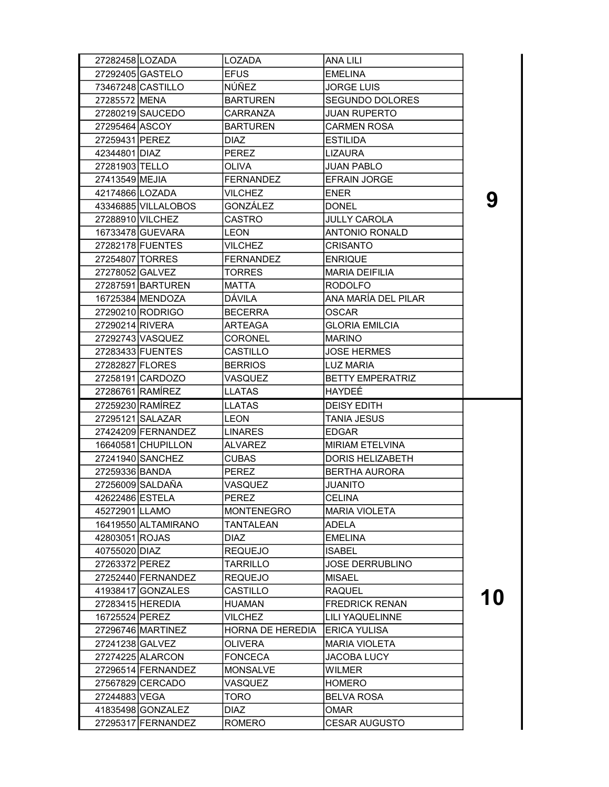|                  | 27282458 LOZADA     | LOZADA           | <b>ANA LILI</b>         |    |
|------------------|---------------------|------------------|-------------------------|----|
|                  | 27292405 GASTELO    | <b>EFUS</b>      | EMELINA                 |    |
|                  | 73467248 CASTILLO   | NÚÑEZ            | <b>JORGE LUIS</b>       |    |
| 27285572 MENA    |                     | <b>BARTUREN</b>  | <b>SEGUNDO DOLORES</b>  |    |
|                  | 27280219 SAUCEDO    | CARRANZA         | <b>JUAN RUPERTO</b>     |    |
| 27295464 ASCOY   |                     | BARTUREN         | CARMEN ROSA             |    |
| 27259431 PEREZ   |                     | DIAZ             | <b>ESTILIDA</b>         |    |
| 42344801 DIAZ    |                     | <b>PEREZ</b>     | LIZAURA                 |    |
| 27281903 TELLO   |                     | OLIVA            | <b>JUAN PABLO</b>       |    |
| 27413549 MEJIA   |                     | <b>FERNANDEZ</b> | <b>EFRAIN JORGE</b>     |    |
| 42174866 LOZADA  |                     | VILCHEZ          | <b>ENER</b>             |    |
|                  | 43346885 VILLALOBOS | GONZÁLEZ         | <b>DONEL</b>            |    |
| 27288910 VILCHEZ |                     | CASTRO           | <b>JULLY CAROLA</b>     |    |
|                  | 16733478 GUEVARA    | LEON             | <b>ANTONIO RONALD</b>   |    |
|                  | 27282178 FUENTES    | VILCHEZ          | CRISANTO                |    |
| 27254807 TORRES  |                     | <b>FERNANDEZ</b> | <b>ENRIQUE</b>          |    |
| 27278052 GALVEZ  |                     | <b>TORRES</b>    | <b>MARIA DEIFILIA</b>   |    |
|                  | 27287591 BARTUREN   | MATTA            | <b>RODOLFO</b>          |    |
|                  | 16725384 MENDOZA    | DÁVILA           | ANA MARÍA DEL PILAR     |    |
|                  | 27290210 RODRIGO    | <b>BECERRA</b>   | OSCAR                   |    |
| 27290214 RIVERA  |                     | <b>ARTEAGA</b>   | <b>GLORIA EMILCIA</b>   |    |
|                  | 27292743 VASQUEZ    | <b>CORONEL</b>   | <b>MARINO</b>           |    |
|                  | 27283433 FUENTES    | CASTILLO         | JOSE HERMES             |    |
| 27282827 FLORES  |                     | <b>BERRIOS</b>   | LUZ MARIA               |    |
|                  | 27258191 CARDOZO    | VASQUEZ          | <b>BETTY EMPERATRIZ</b> |    |
|                  | 27286761 RAMÍREZ    | LLATAS           | <b>HAYDEE</b>           |    |
| 27259230 RAMÍREZ |                     | <b>LLATAS</b>    |                         |    |
|                  |                     |                  | <b>DEISY EDITH</b>      |    |
|                  | 27295121 SALAZAR    | LEON             | <b>TANIA JESUS</b>      |    |
|                  | 27424209 FERNANDEZ  | <b>LINARES</b>   | <b>EDGAR</b>            |    |
|                  | 16640581 CHUPILLON  | <b>ALVAREZ</b>   | <b>MIRIAM ETELVINA</b>  |    |
|                  | 27241940 SANCHEZ    | <b>CUBAS</b>     | DORIS HELIZABETH        |    |
| 27259336 BANDA   |                     | <b>PEREZ</b>     | <b>BERTHA AURORA</b>    |    |
|                  | 27256009 SALDAÑA    | VASQUEZ          | <b>JUANITO</b>          |    |
| 42622486 ESTELA  |                     | <b>PEREZ</b>     | <b>CELINA</b>           |    |
| 45272901 LLAMO   |                     | MONTENEGRO       | <b>MARIA VIOLETA</b>    |    |
|                  | 16419550 ALTAMIRANO | TANTALEAN        | ADELA                   |    |
| 42803051 ROJAS   |                     | DIAZ             | EMELINA                 |    |
| 40755020 DIAZ    |                     | <b>REQUEJO</b>   | <b>ISABEL</b>           |    |
| 27263372 PEREZ   |                     | <b>TARRILLO</b>  | <b>JOSE DERRUBLINO</b>  |    |
|                  | 27252440 FERNANDEZ  | <b>REQUEJO</b>   | MISAEL                  |    |
|                  | 41938417 GONZALES   | CASTILLO         | RAQUEL                  |    |
|                  | 27283415 HEREDIA    | HUAMAN           | <b>FREDRICK RENAN</b>   | 10 |
| 16725524 PEREZ   |                     | VILCHEZ          | <b>LILI YAQUELINNE</b>  |    |
|                  | 27296746 MARTINEZ   | HORNA DE HEREDIA | IERICA YULISA           |    |
| 27241238 GALVEZ  |                     | OLIVERA          | <b>MARIA VIOLETA</b>    |    |
|                  | 27274225 ALARCON    | <b>FONCECA</b>   | JACOBA LUCY             |    |
|                  | 27296514 FERNANDEZ  | <b>MONSALVE</b>  | WILMER                  |    |
|                  | 27567829 CERCADO    | VASQUEZ          | <b>HOMERO</b>           |    |
| 27244883 VEGA    |                     | TORO             | <b>BELVA ROSA</b>       |    |
|                  | 41835498 GONZALEZ   | DIAZ             | OMAR                    |    |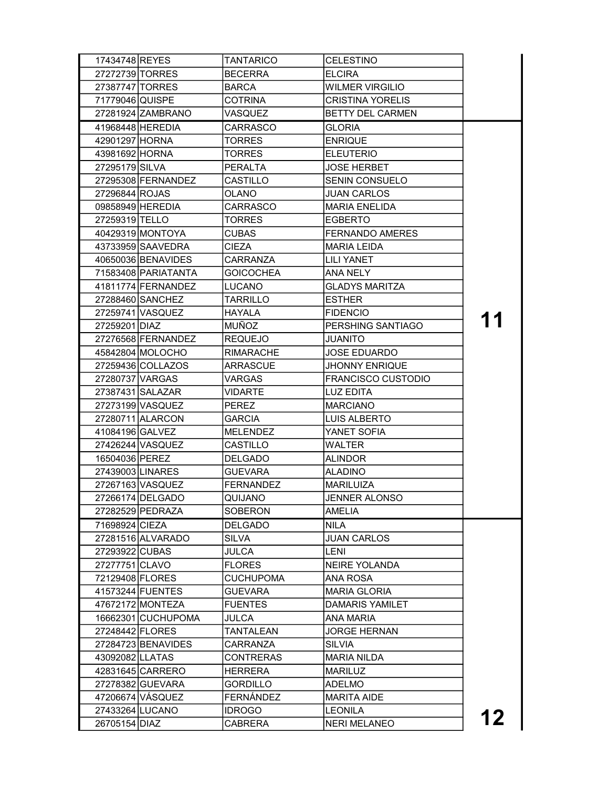| 17434748 REYES      | TANTARICO        | <b>CELESTINO</b>          |    |
|---------------------|------------------|---------------------------|----|
| 27272739 TORRES     | <b>BECERRA</b>   | <b>ELCIRA</b>             |    |
| 27387747 TORRES     | <b>BARCA</b>     | <b>WILMER VIRGILIO</b>    |    |
| 71779046 QUISPE     | <b>COTRINA</b>   | <b>CRISTINA YORELIS</b>   |    |
| 27281924 ZAMBRANO   | VASQUEZ          | <b>BETTY DEL CARMEN</b>   |    |
| 41968448 HEREDIA    | CARRASCO         | <b>GLORIA</b>             |    |
| 42901297 HORNA      | <b>TORRES</b>    | <b>ENRIQUE</b>            |    |
| 43981692 HORNA      | <b>TORRES</b>    | <b>ELEUTERIO</b>          |    |
| 27295179 SILVA      | <b>PERALTA</b>   | <b>JOSE HERBET</b>        |    |
| 27295308 FERNANDEZ  | CASTILLO         | <b>SENIN CONSUELO</b>     |    |
| 27296844 ROJAS      | OLANO            | <b>JUAN CARLOS</b>        |    |
| 09858949 HEREDIA    | CARRASCO         | <b>MARIA ENELIDA</b>      |    |
| 27259319 TELLO      | TORRES           | <b>EGBERTO</b>            |    |
| 40429319 MONTOYA    | <b>CUBAS</b>     | <b>FERNANDO AMERES</b>    |    |
| 43733959 SAAVEDRA   | CIEZA            | <b>MARIA LEIDA</b>        |    |
| 40650036 BENAVIDES  | CARRANZA         | <b>LILI YANET</b>         |    |
| 71583408 PARIATANTA | <b>GOICOCHEA</b> | <b>ANA NELY</b>           |    |
| 41811774 FERNANDEZ  | <b>LUCANO</b>    | <b>GLADYS MARITZA</b>     |    |
| 27288460 SANCHEZ    | TARRILLO         | <b>ESTHER</b>             |    |
| 27259741 VASQUEZ    | HAYALA           | <b>FIDENCIO</b>           |    |
| 27259201 DIAZ       | <b>MUÑOZ</b>     | PERSHING SANTIAGO         | 11 |
| 27276568 FERNANDEZ  | <b>REQUEJO</b>   | JUANITO                   |    |
| 45842804 MOLOCHO    | <b>RIMARACHE</b> | <b>JOSE EDUARDO</b>       |    |
| 27259436 COLLAZOS   | <b>ARRASCUE</b>  | <b>JHONNY ENRIQUE</b>     |    |
| 27280737 VARGAS     | VARGAS           | <b>FRANCISCO CUSTODIO</b> |    |
| 27387431 SALAZAR    | <b>VIDARTE</b>   | <b>LUZ EDITA</b>          |    |
| 27273199 VASQUEZ    | <b>PEREZ</b>     | <b>MARCIANO</b>           |    |
| 27280711 ALARCON    | <b>GARCIA</b>    | LUIS ALBERTO              |    |
| 41084196 GALVEZ     | <b>MELENDEZ</b>  | YANET SOFIA               |    |
| 27426244 VASQUEZ    | CASTILLO         | <b>WALTER</b>             |    |
| 16504036 PEREZ      | <b>DELGADO</b>   | ALINDOR                   |    |
| 27439003 LINARES    | <b>GUEVARA</b>   | <b>ALADINO</b>            |    |
| 27267163 VASQUEZ    | <b>FERNANDEZ</b> | <b>MARILUIZA</b>          |    |
| 27266174 DELGADO    | QUIJANO          | JENNER ALONSO             |    |
| 27282529 PEDRAZA    | SOBERON          | <b>AMELIA</b>             |    |
| 71698924 CIEZA      | <b>DELGADO</b>   | NILA                      |    |
| 27281516 ALVARADO   | <b>SILVA</b>     | <b>JUAN CARLOS</b>        |    |
| 27293922 CUBAS      | JULCA            | LENI                      |    |
| 27277751 CLAVO      | <b>FLORES</b>    | NEIRE YOLANDA             |    |
| 72129408 FLORES     | <b>CUCHUPOMA</b> | ANA ROSA                  |    |
| 41573244 FUENTES    | GUEVARA          | <b>MARIA GLORIA</b>       |    |
| 47672172 MONTEZA    | <b>FUENTES</b>   | <b>DAMARIS YAMILET</b>    |    |
| 16662301 CUCHUPOMA  | JULCA            | <b>ANA MARIA</b>          |    |
| 27248442 FLORES     | TANTALEAN        | <b>JORGE HERNAN</b>       |    |
| 27284723 BENAVIDES  | CARRANZA         | <b>SILVIA</b>             |    |
| 43092082 LLATAS     | <b>CONTRERAS</b> | <b>MARIA NILDA</b>        |    |
| 42831645 CARRERO    | <b>HERRERA</b>   | <b>MARILUZ</b>            |    |
| 27278382 GUEVARA    | <b>GORDILLO</b>  | ADELMO                    |    |
| 47206674 VÁSQUEZ    | FERNÁNDEZ        | <b>MARITA AIDE</b>        |    |
| 27433264 LUCANO     | <b>IDROGO</b>    | LEONILA                   |    |
| 26705154 DIAZ       | CABRERA          | <b>NERI MELANEO</b>       | 12 |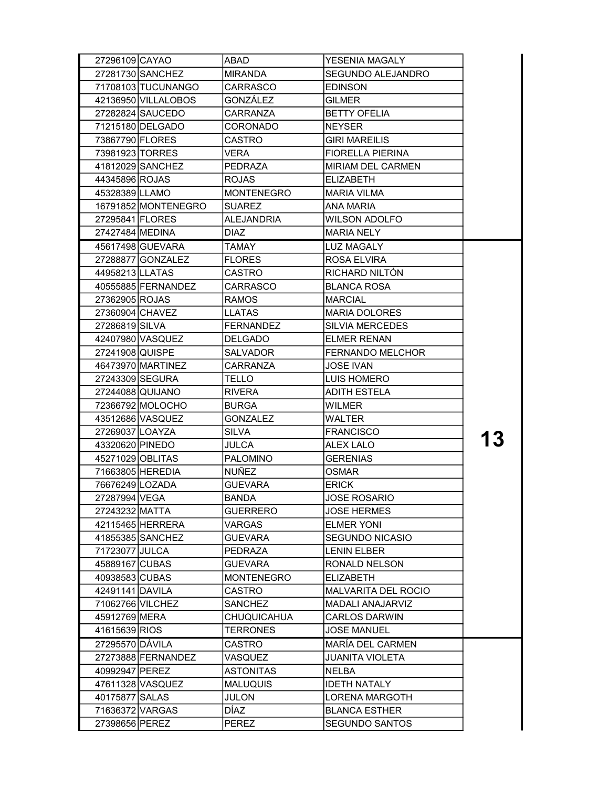| 27296109 CAYAO  |                     | ABAD               | YESENIA MAGALY             |    |
|-----------------|---------------------|--------------------|----------------------------|----|
|                 | 27281730 SANCHEZ    | <b>MIRANDA</b>     | SEGUNDO ALEJANDRO          |    |
|                 | 71708103 TUCUNANGO  | CARRASCO           | <b>EDINSON</b>             |    |
|                 | 42136950 VILLALOBOS | GONZÁLEZ           | <b>GILMER</b>              |    |
|                 | 27282824 SAUCEDO    | CARRANZA           | <b>BETTY OFELIA</b>        |    |
|                 | 71215180 DELGADO    | CORONADO           | <b>NEYSER</b>              |    |
| 73867790 FLORES |                     | CASTRO             | GIRI MAREILIS              |    |
|                 | 73981923 TORRES     | VERA               | <b>FIORELLA PIERINA</b>    |    |
|                 | 41812029 SANCHEZ    | PEDRAZA            | <b>MIRIAM DEL CARMEN</b>   |    |
| 44345896 ROJAS  |                     | <b>ROJAS</b>       | ELIZABETH                  |    |
| 45328389 LLAMO  |                     | <b>MONTENEGRO</b>  | MARIA VILMA                |    |
|                 | 16791852 MONTENEGRO | <b>SUAREZ</b>      | <b>ANA MARIA</b>           |    |
| 27295841 FLORES |                     | <b>ALEJANDRIA</b>  | <b>WILSON ADOLFO</b>       |    |
| 27427484 MEDINA |                     | DIAZ               | <b>MARIA NELY</b>          |    |
|                 | 45617498 GUEVARA    | TAMAY              | LUZ MAGALY                 |    |
|                 | 27288877 GONZALEZ   | <b>FLORES</b>      | <b>ROSA ELVIRA</b>         |    |
| 44958213 LLATAS |                     | CASTRO             | RICHARD NILTÓN             |    |
|                 | 40555885 FERNANDEZ  | CARRASCO           | <b>BLANCA ROSA</b>         |    |
| 27362905 ROJAS  |                     | <b>RAMOS</b>       | MARCIAL                    |    |
| 27360904 CHAVEZ |                     | <b>LLATAS</b>      | <b>MARIA DOLORES</b>       |    |
| 27286819 SILVA  |                     | <b>FERNANDEZ</b>   | <b>SILVIA MERCEDES</b>     |    |
|                 | 42407980 VASQUEZ    | <b>DELGADO</b>     | <b>ELMER RENAN</b>         |    |
| 27241908 QUISPE |                     | SALVADOR           | <b>FERNANDO MELCHOR</b>    |    |
|                 | 46473970 MARTINEZ   | CARRANZA           | JOSE IVAN                  |    |
|                 | 27243309 SEGURA     | TELLO              | LUIS HOMERO                |    |
|                 | 27244088 QUIJANO    | <b>RIVERA</b>      | <b>ADITH ESTELA</b>        |    |
|                 | 72366792 MOLOCHO    | <b>BURGA</b>       | WILMER                     |    |
|                 | 43512686 VASQUEZ    | GONZALEZ           | WALTER                     |    |
| 27269037 LOAYZA |                     | SILVA              | <b>FRANCISCO</b>           |    |
| 43320620 PINEDO |                     | <b>JULCA</b>       | <b>ALEX LALO</b>           | 13 |
|                 | 45271029 OBLITAS    | <b>PALOMINO</b>    | <b>GERENIAS</b>            |    |
|                 | 71663805 HEREDIA    | <b>NUÑEZ</b>       | <b>OSMAR</b>               |    |
| 76676249 LOZADA |                     | GUEVARA            | <b>ERICK</b>               |    |
| 27287994 VEGA   |                     | <b>BANDA</b>       | <b>JOSE ROSARIO</b>        |    |
| 27243232 MATTA  |                     | GUERRERO           | <b>JOSE HERMES</b>         |    |
|                 | 42115465 HERRERA    | VARGAS             | <b>ELMER YONI</b>          |    |
|                 | 41855385 SANCHEZ    | GUEVARA            | <b>SEGUNDO NICASIO</b>     |    |
| 71723077 JULCA  |                     | PEDRAZA            | LENIN ELBER                |    |
| 45889167 CUBAS  |                     | GUEVARA            | RONALD NELSON              |    |
| 40938583 CUBAS  |                     | <b>MONTENEGRO</b>  | <b>ELIZABETH</b>           |    |
| 42491141 DAVILA |                     | CASTRO             | <b>MALVARITA DEL ROCIO</b> |    |
|                 | 71062766 VILCHEZ    | <b>SANCHEZ</b>     | <b>MADALI ANAJARVIZ</b>    |    |
| 45912769 MERA   |                     | <b>CHUQUICAHUA</b> | <b>CARLOS DARWIN</b>       |    |
| 41615639 RIOS   |                     | TERRONES           | JOSE MANUEL                |    |
| 27295570 DÁVILA |                     | CASTRO             | MARÍA DEL CARMEN           |    |
|                 | 27273888 FERNANDEZ  | VASQUEZ            | <b>JUANITA VIOLETA</b>     |    |
| 40992947 PEREZ  |                     | <b>ASTONITAS</b>   | <b>NELBA</b>               |    |
|                 | 47611328 VASQUEZ    | <b>MALUQUIS</b>    | <b>IDETH NATALY</b>        |    |
| 40175877 SALAS  |                     | JULON              | <b>LORENA MARGOTH</b>      |    |
|                 | 71636372 VARGAS     | DÍAZ               | <b>BLANCA ESTHER</b>       |    |
| 27398656 PEREZ  |                     | <b>PEREZ</b>       | SEGUNDO SANTOS             |    |
|                 |                     |                    |                            |    |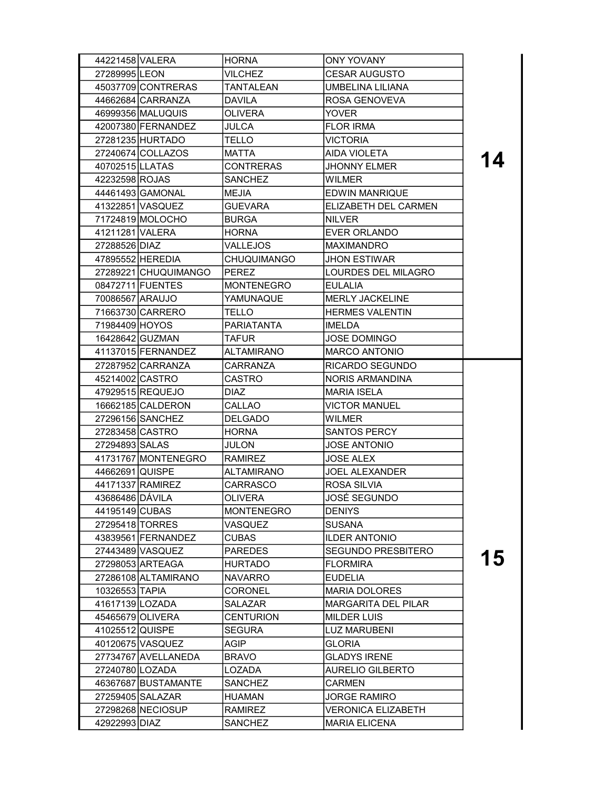| 44221458 VALERA |                      | <b>HORNA</b>       | <b>ONY YOVANY</b>         |    |
|-----------------|----------------------|--------------------|---------------------------|----|
| 27289995 LEON   |                      | VILCHEZ            | CESAR AUGUSTO             |    |
|                 | 45037709 CONTRERAS   | TANTALEAN          | UMBELINA LILIANA          |    |
|                 | 44662684 CARRANZA    | <b>DAVILA</b>      | ROSA GENOVEVA             |    |
|                 | 46999356 MALUQUIS    | OLIVERA            | <b>YOVER</b>              |    |
|                 | 42007380 FERNANDEZ   | JULCA              | <b>FLOR IRMA</b>          |    |
|                 | 27281235 HURTADO     | TELLO              | <b>VICTORIA</b>           |    |
|                 | 27240674 COLLAZOS    | <b>MATTA</b>       | <b>AIDA VIOLETA</b>       |    |
| 40702515 LLATAS |                      | <b>CONTRERAS</b>   | <b>JHONNY ELMER</b>       | 14 |
| 42232598 ROJAS  |                      | SANCHEZ            | WILMER                    |    |
|                 | 44461493 GAMONAL     | MEJIA              | EDWIN MANRIQUE            |    |
|                 | 41322851 VASQUEZ     | <b>GUEVARA</b>     | ELIZABETH DEL CARMEN      |    |
|                 | 71724819 MOLOCHO     | <b>BURGA</b>       | <b>NILVER</b>             |    |
| 41211281 VALERA |                      | <b>HORNA</b>       | <b>EVER ORLANDO</b>       |    |
| 27288526 DIAZ   |                      | <b>VALLEJOS</b>    | MAXIMANDRO                |    |
|                 | 47895552 HEREDIA     | <b>CHUQUIMANGO</b> | JHON ESTIWAR              |    |
|                 | 27289221 CHUQUIMANGO | <b>PEREZ</b>       | LOURDES DEL MILAGRO       |    |
|                 | 08472711 FUENTES     | <b>MONTENEGRO</b>  | <b>EULALIA</b>            |    |
| 70086567 ARAUJO |                      | YAMUNAQUE          | <b>MERLY JACKELINE</b>    |    |
|                 | 71663730 CARRERO     | TELLO              | <b>HERMES VALENTIN</b>    |    |
| 71984409 HOYOS  |                      | <b>PARIATANTA</b>  | <b>IMELDA</b>             |    |
|                 | 16428642 GUZMAN      | <b>TAFUR</b>       | JOSE DOMINGO              |    |
|                 | 41137015 FERNANDEZ   | ALTAMIRANO         | <b>MARCO ANTONIO</b>      |    |
|                 | 27287952 CARRANZA    | CARRANZA           | RICARDO SEGUNDO           |    |
| 45214002 CASTRO |                      | <b>CASTRO</b>      | <b>NORIS ARMANDINA</b>    |    |
|                 | 47929515 REQUEJO     | <b>DIAZ</b>        | <b>MARIA ISELA</b>        |    |
|                 | 16662185 CALDERON    | CALLAO             | <b>VICTOR MANUEL</b>      |    |
|                 | 27296156 SANCHEZ     | <b>DELGADO</b>     | WILMER                    |    |
| 27283458 CASTRO |                      | <b>HORNA</b>       | <b>SANTOS PERCY</b>       |    |
| 27294893 SALAS  |                      | <b>JULON</b>       | <b>JOSE ANTONIO</b>       |    |
|                 | 41731767 MONTENEGRO  | RAMIREZ            | <b>JOSE ALEX</b>          |    |
| 44662691 QUISPE |                      | <b>ALTAMIRANO</b>  | JOEL ALEXANDER            |    |
|                 | 44171337 RAMIREZ     | CARRASCO           | <b>ROSA SILVIA</b>        |    |
| 43686486 DÁVILA |                      | <b>OLIVERA</b>     | JOSÉ SEGUNDO              |    |
| 44195149 CUBAS  |                      | <b>MONTENEGRO</b>  | <b>DENIYS</b>             |    |
|                 | 27295418 TORRES      | VASQUEZ            | SUSANA                    |    |
|                 | 43839561 FERNANDEZ   | <b>CUBAS</b>       | <b>ILDER ANTONIO</b>      |    |
|                 | 27443489 VASQUEZ     | <b>PAREDES</b>     | <b>SEGUNDO PRESBITERO</b> | 15 |
|                 | 27298053 ARTEAGA     | <b>HURTADO</b>     | <b>FLORMIRA</b>           |    |
|                 | 27286108 ALTAMIRANO  | <b>NAVARRO</b>     | <b>EUDELIA</b>            |    |
| 10326553 TAPIA  |                      | <b>CORONEL</b>     | <b>MARIA DOLORES</b>      |    |
| 41617139 LOZADA |                      | SALAZAR            | MARGARITA DEL PILAR       |    |
|                 | 45465679 OLIVERA     | <b>CENTURION</b>   | MILDER LUIS               |    |
| 41025512 QUISPE |                      | <b>SEGURA</b>      | <b>LUZ MARUBENI</b>       |    |
|                 | 40120675 VASQUEZ     | AGIP               | <b>GLORIA</b>             |    |
|                 | 27734767 AVELLANEDA  | <b>BRAVO</b>       | <b>GLADYS IRENE</b>       |    |
| 27240780 LOZADA |                      | LOZADA             | AURELIO GILBERTO          |    |
|                 | 46367687 BUSTAMANTE  | <b>SANCHEZ</b>     | <b>CARMEN</b>             |    |
|                 | 27259405 SALAZAR     | <b>HUAMAN</b>      | <b>JORGE RAMIRO</b>       |    |
|                 | 27298268 NECIOSUP    | <b>RAMIREZ</b>     | VERONICA ELIZABETH        |    |
| 42922993 DIAZ   |                      | SANCHEZ            | <b>MARIA ELICENA</b>      |    |
|                 |                      |                    |                           |    |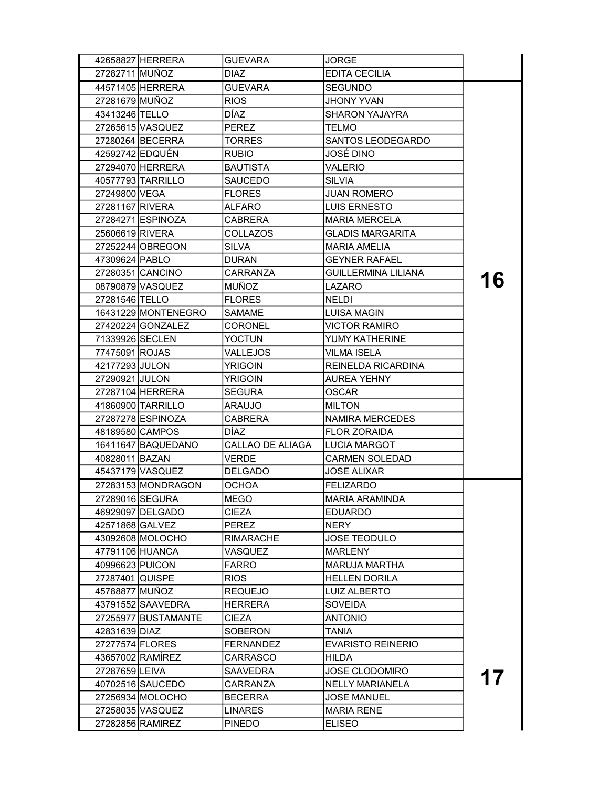| 42658827 HERRERA    | <b>GUEVARA</b>   | JORGE                      |    |
|---------------------|------------------|----------------------------|----|
| 27282711 MUÑOZ      | DIAZ             | EDITA CECILIA              |    |
| 44571405 HERRERA    | <b>GUEVARA</b>   | SEGUNDO                    |    |
| 27281679 MUÑOZ      | <b>RIOS</b>      | JHONY YVAN                 |    |
| 43413246 TELLO      | DÍAZ             | SHARON YAJAYRA             |    |
| 27265615 VASQUEZ    | <b>PEREZ</b>     | TELMO                      |    |
| 27280264 BECERRA    | <b>TORRES</b>    | SANTOS LEODEGARDO          |    |
| 42592742 EDQUÉN     | RUBIO.           | JOSÉ DINO                  |    |
| 27294070 HERRERA    | <b>BAUTISTA</b>  | VALERIO                    |    |
| 40577793 TARRILLO   | <b>SAUCEDO</b>   | SILVIA                     |    |
| 27249800 VEGA       | <b>FLORES</b>    | <b>JUAN ROMERO</b>         |    |
| 27281167 RIVERA     | ALFARO           | LUIS ERNESTO               |    |
| 27284271 ESPINOZA   | CABRERA          | <b>MARIA MERCELA</b>       |    |
| 25606619 RIVERA     | <b>COLLAZOS</b>  | <b>GLADIS MARGARITA</b>    |    |
| 27252244 OBREGON    | SILVA            | MARIA AMELIA               |    |
| 47309624 PABLO      | <b>DURAN</b>     | <b>GEYNER RAFAEL</b>       |    |
| 27280351 CANCINO    | CARRANZA         | <b>GUILLERMINA LILIANA</b> |    |
| 08790879 VASQUEZ    | <b>MUÑOZ</b>     | LAZARO                     | 16 |
| 27281546 TELLO      | <b>FLORES</b>    | NELDI                      |    |
| 16431229 MONTENEGRO | SAMAME           | LUISA MAGIN                |    |
| 27420224 GONZALEZ   | <b>CORONEL</b>   | VICTOR RAMIRO              |    |
| 71339926 SECLEN     | <b>YOCTUN</b>    | YUMY KATHERINE             |    |
| 77475091 ROJAS      | VALLEJOS         | <b>VILMA ISELA</b>         |    |
| 42177293 JULON      | Yrigoin          | REINELDA RICARDINA         |    |
| 27290921 JULON      | <b>YRIGOIN</b>   | <b>AUREA YEHNY</b>         |    |
| 27287104 HERRERA    | SEGURA           | <b>OSCAR</b>               |    |
| 41860900 TARRILLO   | ARAUJO           | <b>MILTON</b>              |    |
| 27287278 ESPINOZA   | CABRERA          | <b>NAMIRA MERCEDES</b>     |    |
| 48189580 CAMPOS     | DÌAZ.            | FLOR ZORAIDA               |    |
| 16411647 BAQUEDANO  | CALLAO DE ALIAGA | LUCIA MARGOT               |    |
| 40828011 BAZAN      | VERDE            | CARMEN SOLEDAD             |    |
| 45437179 VASQUEZ    | <b>DELGADO</b>   | <b>JOSE ALIXAR</b>         |    |
| 27283153 MONDRAGON  | <b>OCHOA</b>     | <b>FELIZARDO</b>           |    |
| 27289016 SEGURA     | <b>MEGO</b>      | MARIA ARAMINDA             |    |
| 46929097 DELGADO    | CIEZA            | <b>EDUARDO</b>             |    |
| 42571868 GALVEZ     | <b>PEREZ</b>     | NERY                       |    |
| 43092608 MOLOCHO    | RIMARACHE        | JOSE TEODULO               |    |
| 47791106 HUANCA     | VASQUEZ          | <b>MARLENY</b>             |    |
| 40996623 PUICON     | <b>FARRO</b>     | <b>MARUJA MARTHA</b>       |    |
| 27287401 QUISPE     | <b>RIOS</b>      | <b>HELLEN DORILA</b>       |    |
| 45788877 MUÑOZ      | <b>REQUEJO</b>   | LUIZ ALBERTO               |    |
| 43791552 SAAVEDRA   | HERRERA          | <b>SOVEIDA</b>             |    |
| 27255977 BUSTAMANTE | <b>CIEZA</b>     | <b>ANTONIO</b>             |    |
| 42831639 DIAZ       | SOBERON          | TANIA                      |    |
| 27277574 FLORES     | <b>FERNANDEZ</b> | <b>EVARISTO REINERIO</b>   |    |
| 43657002 RAMÍREZ    | CARRASCO         | HILDA                      |    |
| 27287659 LEIVA      | <b>SAAVEDRA</b>  | JOSE CLODOMIRO             | 17 |
| 40702516 SAUCEDO    | CARRANZA         | <b>NELLY MARIANELA</b>     |    |
| 27256934 MOLOCHO    | <b>BECERRA</b>   | <b>JOSE MANUEL</b>         |    |
| 27258035 VASQUEZ    | LINARES          | <b>MARIA RENE</b>          |    |
| 27282856 RAMIREZ    | <b>PINEDO</b>    | <b>ELISEO</b>              |    |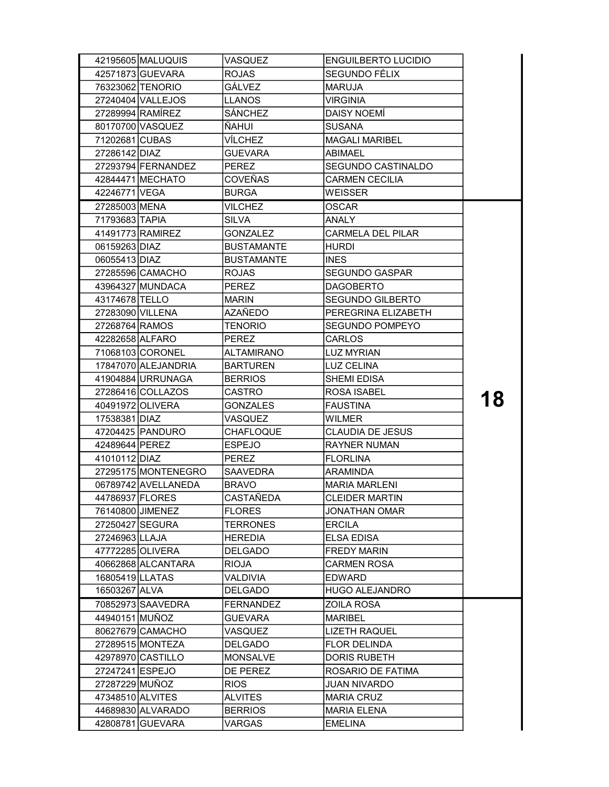| 42195605 MALUQUIS   | VASQUEZ           | ENGUILBERTO LUCIDIO     |    |
|---------------------|-------------------|-------------------------|----|
| 42571873 GUEVARA    | <b>ROJAS</b>      | SEGUNDO FÉLIX           |    |
| 76323062 TENORIO    | GÁLVEZ            | <b>MARUJA</b>           |    |
| 27240404 VALLEJOS   | LLANOS            | VIRGINIA                |    |
| 27289994 RAMIREZ    | SÁNCHEZ           | DAISY NOEMÍ             |    |
| 80170700 VASQUEZ    | ÑAHUI             | <b>SUSANA</b>           |    |
| 71202681 CUBAS      | VILCHEZ           | <b>MAGALI MARIBEL</b>   |    |
| 27286142 DIAZ       | <b>GUEVARA</b>    | <b>ABIMAEL</b>          |    |
| 27293794 FERNANDEZ  | <b>PEREZ</b>      | SEGUNDO CASTINALDO      |    |
| 42844471 MECHATO    | COVEÑAS           | <b>CARMEN CECILIA</b>   |    |
| 42246771 VEGA       | <b>BURGA</b>      | WEISSER                 |    |
| 27285003 MENA       | VILCHEZ           | OSCAR                   |    |
| 71793683 TAPIA      | SILVA             | ANALY                   |    |
| 41491773 RAMIREZ    | GONZALEZ          | CARMELA DEL PILAR       |    |
| 06159263 DIAZ       | <b>BUSTAMANTE</b> | HURDI                   |    |
| 06055413 DIAZ       | <b>BUSTAMANTE</b> | <b>INES</b>             |    |
| 27285596 CAMACHO    | <b>ROJAS</b>      | <b>SEGUNDO GASPAR</b>   |    |
| 43964327 MUNDACA    | <b>PEREZ</b>      | <b>DAGOBERTO</b>        |    |
| 43174678 TELLO      | MARIN             | <b>SEGUNDO GILBERTO</b> |    |
| 27283090 VILLENA    | AZAÑEDO           | PEREGRINA ELIZABETH     |    |
| 27268764 RAMOS      | <b>TENORIO</b>    | <b>SEGUNDO POMPEYO</b>  |    |
| 42282658 ALFARO     | <b>PEREZ</b>      | CARLOS                  |    |
| 71068103 CORONEL    | ALTAMIRANO        | LUZ MYRIAN              |    |
| 17847070 ALEJANDRIA | BARTUREN          | LUZ CELINA              |    |
| 41904884 URRUNAGA   | <b>BERRIOS</b>    | <b>SHEMI EDISA</b>      |    |
|                     |                   |                         |    |
| 27286416 COLLAZOS   | CASTRO            | <b>ROSA ISABEL</b>      |    |
| 40491972 OLIVERA    | GONZALES          | <b>FAUSTINA</b>         | 18 |
| 17538381 DIAZ       | VASQUEZ           | WILMER                  |    |
| 47204425 PANDURO    | CHAFLOQUE         | <b>CLAUDIA DE JESUS</b> |    |
| 42489644 PEREZ      | <b>ESPEJO</b>     | RAYNER NUMAN            |    |
| 41010112 DIAZ       | PEREZ             | <b>FLORLINA</b>         |    |
| 27295175 MONTENEGRO | SAAVEDRA          | ARAMINDA                |    |
| 06789742 AVELLANEDA | <b>BRAVO</b>      | <b>MARIA MARLENI</b>    |    |
| 44786937 FLORES     | CASTAÑEDA         | <b>CLEIDER MARTIN</b>   |    |
| 76140800 JIMENEZ    | <b>FLORES</b>     | <b>JONATHAN OMAR</b>    |    |
| 27250427 SEGURA     | TERRONES          | <b>ERCILA</b>           |    |
| 27246963 LLAJA      | <b>HEREDIA</b>    | <b>ELSA EDISA</b>       |    |
| 47772285 OLIVERA    | DELGADO           | FREDY MARIN             |    |
| 40662868 ALCANTARA  | RIOJA             | <b>CARMEN ROSA</b>      |    |
| 16805419 LLATAS     | VALDIVIA          | EDWARD                  |    |
| 16503267 ALVA       | DELGADO           | <b>HUGO ALEJANDRO</b>   |    |
| 70852973 SAAVEDRA   | FERNANDEZ         | ZOILA ROSA              |    |
| 44940151 MUÑOZ      | <b>GUEVARA</b>    | <b>MARIBEL</b>          |    |
| 80627679 CAMACHO    | VASQUEZ           | <b>LIZETH RAQUEL</b>    |    |
| 27289515 MONTEZA    | DELGADO           | FLOR DELINDA            |    |
| 42978970 CASTILLO   | MONSALVE          | DORIS RUBETH            |    |
| 27247241 ESPEJO     | DE PEREZ          | ROSARIO DE FATIMA       |    |
| 27287229 MUÑOZ      | RIOS              | <b>JUAN NIVARDO</b>     |    |
| 47348510 ALVITES    | <b>ALVITES</b>    | <b>MARIA CRUZ</b>       |    |
| 44689830 ALVARADO   | <b>BERRIOS</b>    | <b>MARIA ELENA</b>      |    |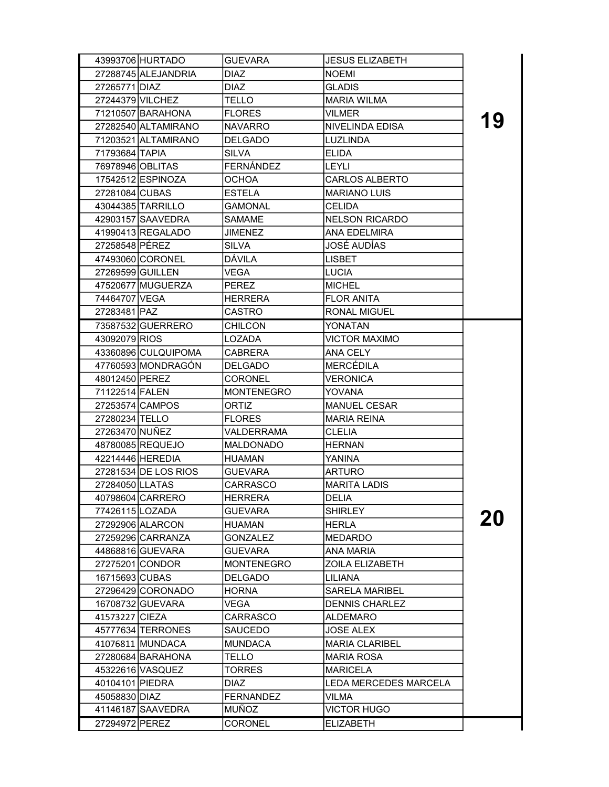| 43993706 HURTADO     | <b>GUEVARA</b>    | <b>JESUS ELIZABETH</b> |    |
|----------------------|-------------------|------------------------|----|
| 27288745 ALEJANDRIA  | <b>DIAZ</b>       | <b>NOEMI</b>           |    |
| 27265771 DIAZ        | <b>DIAZ</b>       | <b>GLADIS</b>          |    |
| 27244379 VILCHEZ     | TELLO             | <b>MARIA WILMA</b>     |    |
| 71210507 BARAHONA    | <b>FLORES</b>     | VILMER                 |    |
| 27282540 ALTAMIRANO  | <b>NAVARRO</b>    | NIVELINDA EDISA        | 19 |
| 71203521 ALTAMIRANO  | <b>DELGADO</b>    | LUZLINDA               |    |
| 71793684 TAPIA       | <b>SILVA</b>      | ELIDA                  |    |
| 76978946 OBLITAS     | <b>FERNÁNDEZ</b>  | LEYLI                  |    |
| 17542512 ESPINOZA    | <b>OCHOA</b>      | <b>CARLOS ALBERTO</b>  |    |
| 27281084 CUBAS       | <b>ESTELA</b>     | <b>MARIANO LUIS</b>    |    |
| 43044385 TARRILLO    | <b>GAMONAL</b>    | <b>CELIDA</b>          |    |
| 42903157 SAAVEDRA    | <b>SAMAME</b>     | <b>NELSON RICARDO</b>  |    |
| 41990413 REGALADO    | JIMENEZ           | ANA EDELMIRA           |    |
| 27258548 PÉREZ       | SILVA             | JOSÉ AUDÍAS            |    |
| 47493060 CORONEL     | <b>DÁVILA</b>     | LISBET                 |    |
| 27269599 GUILLEN     | VEGA              | LUCIA                  |    |
| 47520677 MUGUERZA    | <b>PEREZ</b>      | MICHEL                 |    |
| 74464707 VEGA        | <b>HERRERA</b>    | <b>FLOR ANITA</b>      |    |
| 27283481 PAZ         | CASTRO            | RONAL MIGUEL           |    |
| 73587532 GUERRERO    | <b>CHILCON</b>    | YONATAN                |    |
| 43092079 RIOS        | LOZADA            | <b>VICTOR MAXIMO</b>   |    |
| 43360896 CULQUIPOMA  | <b>CABRERA</b>    | ANA CELY               |    |
| 47760593 MONDRAGÓN   | <b>DELGADO</b>    | <b>MERCÉDILA</b>       |    |
| 48012450 PEREZ       | <b>CORONEL</b>    | <b>VERONICA</b>        |    |
| 71122514 FALEN       | <b>MONTENEGRO</b> | YOVANA                 |    |
| 27253574 CAMPOS      | ORTIZ             | <b>MANUEL CESAR</b>    |    |
| 27280234 TELLO       | <b>FLORES</b>     | <b>MARIA REINA</b>     |    |
| 27263470 NUÑEZ       | VALDERRAMA        | <b>CLELIA</b>          |    |
| 48780085 REQUEJO     | <b>MALDONADO</b>  | <b>HERNAN</b>          |    |
| 42214446 HEREDIA     | <b>HUAMAN</b>     | YANINA                 |    |
| 27281534 DE LOS RIOS | GUEVARA           | <b>ARTURO</b>          |    |
| 27284050 LLATAS      | CARRASCO          | <b>MARITA LADIS</b>    |    |
| 40798604 CARRERO     | <b>HERRERA</b>    | <b>DELIA</b>           |    |
| 77426115 LOZADA      | <b>GUEVARA</b>    | <b>SHIRLEY</b>         |    |
| 27292906 ALARCON     | HUAMAN            | HERLA                  | 20 |
| 27259296 CARRANZA    | GONZALEZ          | <b>MEDARDO</b>         |    |
| 44868816 GUEVARA     | <b>GUEVARA</b>    | ANA MARIA              |    |
| 27275201 CONDOR      | <b>MONTENEGRO</b> | ZOILA ELIZABETH        |    |
| 16715693 CUBAS       | <b>DELGADO</b>    | LILIANA                |    |
| 27296429 CORONADO    | HORNA             | <b>SARELA MARIBEL</b>  |    |
| 16708732 GUEVARA     | VEGA              | <b>DENNIS CHARLEZ</b>  |    |
| 41573227 CIEZA       | CARRASCO          | <b>ALDEMARO</b>        |    |
| 45777634 TERRONES    | SAUCEDO           | JOSE ALEX              |    |
| 41076811 MUNDACA     | MUNDACA           | <b>MARIA CLARIBEL</b>  |    |
| 27280684 BARAHONA    | TELLO             | MARIA ROSA             |    |
| 45322616 VASQUEZ     | TORRES            | <b>MARICELA</b>        |    |
| 40104101 PIEDRA      | <b>DIAZ</b>       | LEDA MERCEDES MARCELA  |    |
| 45058830 DIAZ        | <b>FERNANDEZ</b>  | VILMA                  |    |
| 41146187 SAAVEDRA    | <b>MUNOZ</b>      | VICTOR HUGO            |    |
| 27294972 PEREZ       | CORONEL           | <b>ELIZABETH</b>       |    |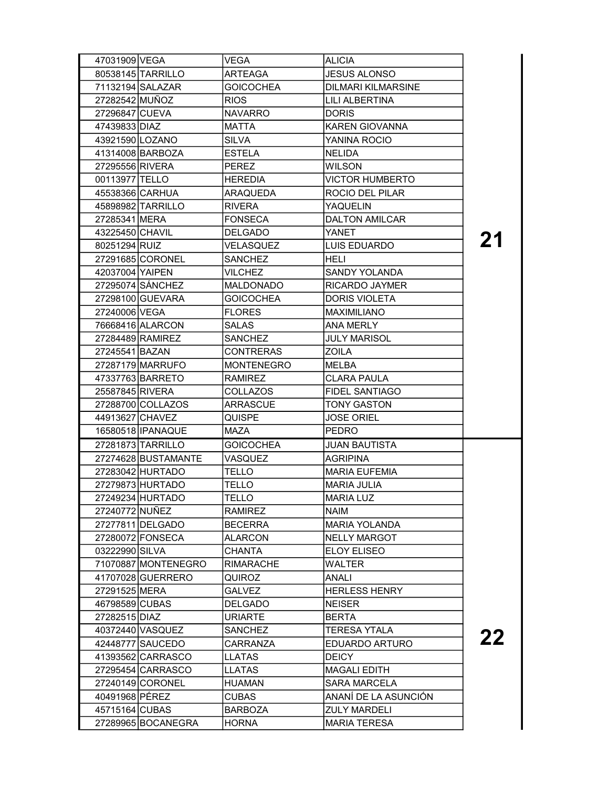| 47031909 VEGA   |                          | VEGA             | <b>ALICIA</b>             |                     |
|-----------------|--------------------------|------------------|---------------------------|---------------------|
|                 | 80538145 TARRILLO        | ARTEAGA          | <b>JESUS ALONSO</b>       |                     |
|                 | 71132194 SALAZAR         | <b>GOICOCHEA</b> | <b>DILMARI KILMARSINE</b> |                     |
| 27282542 MUÑOZ  |                          | <b>RIOS</b>      | LILI ALBERTINA            |                     |
| 27296847 CUEVA  |                          | <b>NAVARRO</b>   | <b>DORIS</b>              |                     |
| 47439833 DIAZ   |                          | <b>MATTA</b>     | KAREN GIOVANNA            |                     |
| 43921590 LOZANO |                          | <b>SILVA</b>     | YANINA ROCIO              |                     |
|                 | 41314008 BARBOZA         | ESTELA           | NELIDA                    |                     |
| 27295556 RIVERA |                          | PEREZ            | <b>WILSON</b>             | $\mathbf{2}^\prime$ |
| 00113977 TELLO  |                          | HEREDIA          | <b>VICTOR HUMBERTO</b>    |                     |
|                 | 45538366 CARHUA          | ARAQUEDA         | ROCIO DEL PILAR           |                     |
|                 | 45898982 TARRILLO        | <b>RIVERA</b>    | YAQUELIN                  |                     |
| 27285341 MERA   |                          | <b>FONSECA</b>   | <b>DALTON AMILCAR</b>     |                     |
| 43225450 CHAVIL |                          | DELGADO          | YANET                     |                     |
| 80251294 RUIZ   |                          | VELASQUEZ        | LUIS EDUARDO              |                     |
|                 | 27291685 CORONEL         | <b>SANCHEZ</b>   | HELI                      |                     |
| 42037004 YAIPEN |                          | VILCHEZ          | <b>SANDY YOLANDA</b>      |                     |
|                 | 27295074 SÁNCHEZ         | MALDONADO        | <b>RICARDO JAYMER</b>     |                     |
|                 | 27298100 GUEVARA         | <b>GOICOCHEA</b> | <b>DORIS VIOLETA</b>      |                     |
| 27240006 VEGA   |                          | <b>FLORES</b>    | <b>MAXIMILIANO</b>        |                     |
|                 | 76668416 ALARCON         | SALAS            | <b>ANA MERLY</b>          |                     |
|                 | 27284489 RAMIREZ         | <b>SANCHEZ</b>   | <b>JULY MARISOL</b>       |                     |
| 27245541 BAZAN  |                          | CONTRERAS        | ZOILA                     |                     |
|                 | 27287179 MARRUFO         | MONTENEGRO       | MELBA                     |                     |
|                 | 47337763 BARRETO         | <b>RAMIREZ</b>   | <b>CLARA PAULA</b>        |                     |
| 25587845 RIVERA |                          | <b>COLLAZOS</b>  | <b>FIDEL SANTIAGO</b>     |                     |
|                 | 27288700 COLLAZOS        | ARRASCUE         | <b>TONY GASTON</b>        |                     |
| 44913627 CHAVEZ |                          | QUISPE           | <b>JOSE ORIEL</b>         |                     |
|                 | 16580518 <b>IPANAQUE</b> | MAZA             | <b>PEDRO</b>              |                     |
|                 | 27281873 TARRILLO        | <b>GOICOCHEA</b> | JUAN BAUTISTA             | 22                  |
|                 | 27274628 BUSTAMANTE      | VASQUEZ          | AGRIPINA                  |                     |
|                 | 27283042 HURTADO         | TELLO            | <b>MARIA EUFEMIA</b>      |                     |
|                 | 27279873 HURTADO         | TELLO            | <b>MARIA JULIA</b>        |                     |
|                 | 27249234 HURTADO         | TELLO            | <b>MARIA LUZ</b>          |                     |
| 27240772 NUNEZ  |                          | <b>RAMIREZ</b>   | NAIM                      |                     |
|                 | 27277811 DELGADO         | <b>BECERRA</b>   | <b>MARIA YOLANDA</b>      |                     |
|                 | 27280072 FONSECA         | ALARCON          | <b>NELLY MARGOT</b>       |                     |
| 03222990 SILVA  |                          | <b>CHANTA</b>    | <b>ELOY ELISEO</b>        |                     |
|                 | 71070887 MONTENEGRO      | <b>RIMARACHE</b> | <b>WALTER</b>             |                     |
|                 | 41707028 GUERRERO        | QUIROZ           | ANALI                     |                     |
| 27291525 MERA   |                          | <b>GALVEZ</b>    | <b>HERLESS HENRY</b>      |                     |
| 46798589 CUBAS  |                          | <b>DELGADO</b>   | <b>NEISER</b>             |                     |
| 27282515 DIAZ   |                          | URIARTE          | <b>BERTA</b>              |                     |
|                 | 40372440 VASQUEZ         | SANCHEZ          | <b>TERESA YTALA</b>       |                     |
|                 | 42448777 SAUCEDO         | CARRANZA         | EDUARDO ARTURO            |                     |
|                 | 41393562 CARRASCO        | LLATAS           | <b>DEICY</b>              |                     |
|                 | 27295454 CARRASCO        | LLATAS           | <b>MAGALI EDITH</b>       |                     |
|                 | 27240149 CORONEL         | <b>HUAMAN</b>    | <b>SARA MARCELA</b>       |                     |
| 40491968 PÉREZ  |                          | CUBAS            | ANANÍ DE LA ASUNCIÓN      |                     |
| 45715164 CUBAS  |                          | <b>BARBOZA</b>   | <b>ZULY MARDELI</b>       |                     |
|                 | 27289965 BOCANEGRA       | HORNA            | <b>MARIA TERESA</b>       |                     |